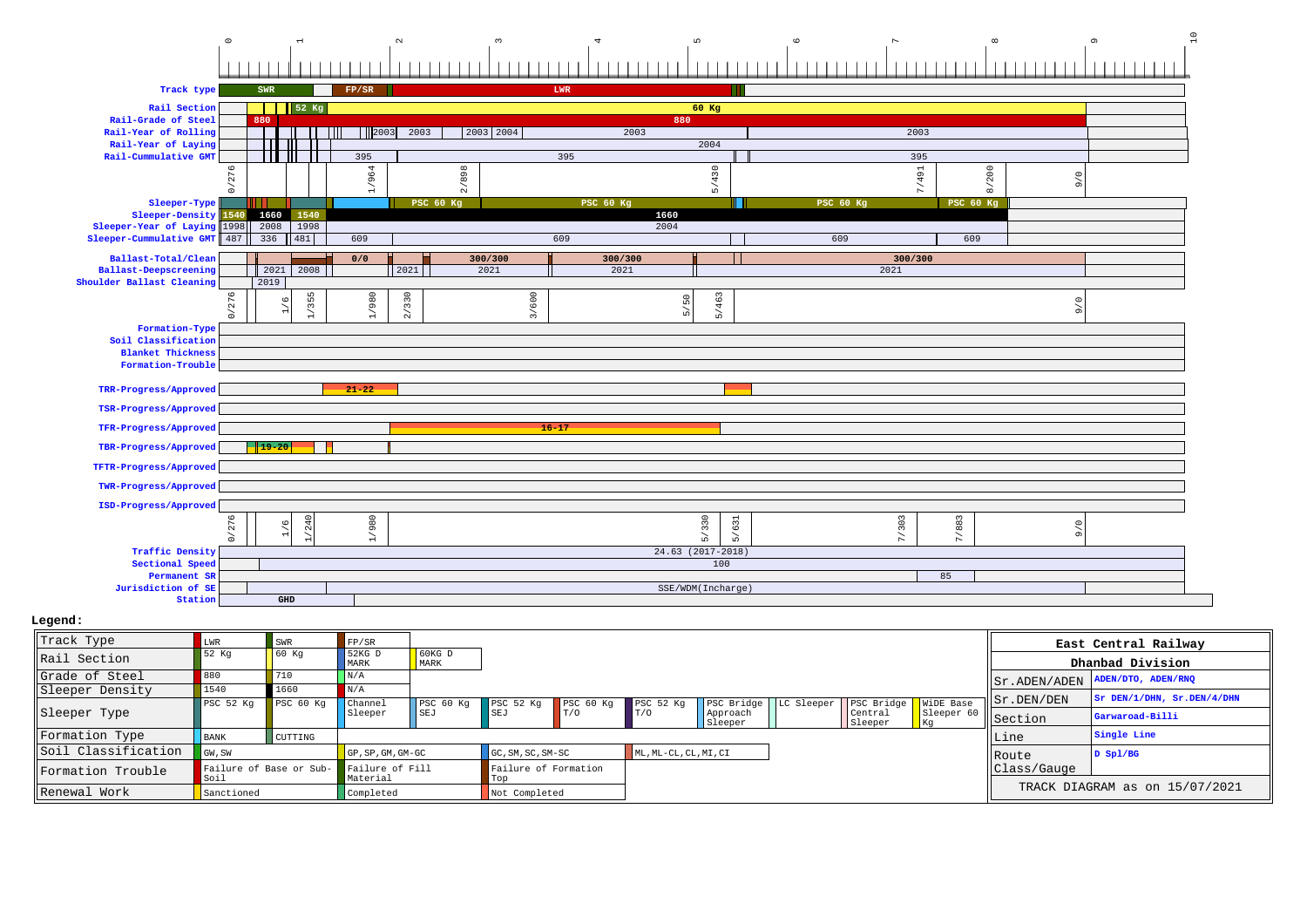|                                                 | $\circ$                        |                      |                                                  |                  | $\sim$             |           |           |           | $\mathsf{L} \cap$   |                   | $\circ$          |         | $\infty$         |                     | $\sigma$ |  |
|-------------------------------------------------|--------------------------------|----------------------|--------------------------------------------------|------------------|--------------------|-----------|-----------|-----------|---------------------|-------------------|------------------|---------|------------------|---------------------|----------|--|
|                                                 |                                |                      |                                                  |                  |                    |           |           |           |                     |                   |                  |         |                  |                     |          |  |
|                                                 |                                |                      |                                                  |                  |                    |           |           |           |                     |                   |                  |         |                  |                     |          |  |
| Track type                                      |                                | SWR                  |                                                  | FP/SR            |                    |           | LWR       |           |                     |                   |                  |         |                  |                     |          |  |
| Rail Section                                    |                                |                      | 52 Kg                                            |                  |                    |           |           |           |                     | 60 Kg             |                  |         |                  |                     |          |  |
| Rail-Grade of Steel<br>Rail-Year of Rolling     |                                | 880                  |                                                  | $\frac{1}{2003}$ | 2003               | 2003 2004 |           | 2003      | 880                 |                   |                  | 2003    |                  |                     |          |  |
| Rail-Year of Laying                             |                                |                      |                                                  |                  |                    |           |           |           |                     | 2004              |                  |         |                  |                     |          |  |
| Rail-Cummulative GMT                            |                                |                      | Ш                                                | 395              |                    |           |           | 395       |                     |                   |                  | 395     |                  |                     |          |  |
|                                                 | 276                            |                      |                                                  | 1/964            |                    | 2/898     |           |           |                     | 5/430             |                  | 7/491   | 8/200            | $\circ$             |          |  |
|                                                 | $\geq$                         |                      |                                                  |                  |                    |           |           |           |                     |                   |                  |         |                  | $\sigma$            |          |  |
| Sleeper-Type<br>Sleeper-Density                 | 1540                           | 1660                 | 1540                                             |                  | PSC 60 Kg          |           |           | PSC 60 Kg | 1660                | l II              | <b>PSC 60 Kg</b> |         | <b>PSC 60 Kg</b> |                     |          |  |
| Sleeper-Year of Laying 1998                     |                                | 2008                 | 1998                                             |                  |                    |           |           |           | 2004                |                   |                  |         |                  |                     |          |  |
| Sleeper-Cummulative GMT                         | 487                            | 336                  | 481                                              | 609              |                    |           | 609       |           |                     |                   | 609              |         | 609              |                     |          |  |
| Ballast-Total/Clean                             |                                |                      |                                                  | 0/0              |                    | 300/300   |           | 300/300   |                     |                   |                  | 300/300 |                  |                     |          |  |
| <b>Ballast-Deepscreening</b>                    |                                | 2021                 | 2008                                             |                  | 2021               | 2021      |           | 2021      |                     |                   |                  | 2021    |                  |                     |          |  |
| Shoulder Ballast Cleaning                       | $\circ$                        | 2019                 |                                                  |                  |                    |           |           |           |                     |                   |                  |         |                  |                     |          |  |
|                                                 | 27<br>$\overline{\phantom{0}}$ | O                    | 355<br>$\overline{\phantom{a}}$<br>$\rightarrow$ | 1/980            | 330<br>$\tilde{z}$ |           | 3/600     |           | 5/50                | 463<br>$\sum$     |                  |         |                  | $\circ$<br>$\sigma$ |          |  |
| Formation-Type                                  |                                |                      |                                                  |                  |                    |           |           |           |                     |                   |                  |         |                  |                     |          |  |
| Soil Classification<br><b>Blanket Thickness</b> |                                |                      |                                                  |                  |                    |           |           |           |                     |                   |                  |         |                  |                     |          |  |
| Formation-Trouble                               |                                |                      |                                                  |                  |                    |           |           |           |                     |                   |                  |         |                  |                     |          |  |
|                                                 |                                |                      |                                                  |                  |                    |           |           |           |                     |                   |                  |         |                  |                     |          |  |
| TRR-Progress/Approved                           |                                |                      |                                                  | $21 - 22$        |                    |           |           |           |                     |                   |                  |         |                  |                     |          |  |
| TSR-Progress/Approved                           |                                |                      |                                                  |                  |                    |           |           |           |                     |                   |                  |         |                  |                     |          |  |
| TFR-Progress/Approved                           |                                |                      |                                                  |                  |                    |           | $16 - 17$ |           |                     |                   |                  |         |                  |                     |          |  |
| TBR-Progress/Approved                           |                                | $19-20$              |                                                  |                  |                    |           |           |           |                     |                   |                  |         |                  |                     |          |  |
| TFTR-Progress/Approved                          |                                |                      |                                                  |                  |                    |           |           |           |                     |                   |                  |         |                  |                     |          |  |
| TWR-Progress/Approved                           |                                |                      |                                                  |                  |                    |           |           |           |                     |                   |                  |         |                  |                     |          |  |
| ISD-Progress/Approved                           |                                |                      |                                                  |                  |                    |           |           |           |                     |                   |                  |         |                  |                     |          |  |
|                                                 | $\circ$<br>27                  | G                    | 240                                              | 086.             |                    |           |           |           |                     | 330<br>631        |                  | 7/303   | /883             | $\circ$             |          |  |
|                                                 | s.                             |                      |                                                  | $\overline{a}$   |                    |           |           |           |                     | ∼<br>$\sum$<br>மி |                  |         | $\triangleright$ | $\sigma$            |          |  |
| <b>Traffic Density</b>                          |                                |                      |                                                  |                  |                    |           |           |           | $24.63$ (2017-2018) |                   |                  |         |                  |                     |          |  |
| Sectional Speed<br>Permanent SR                 |                                |                      |                                                  |                  |                    |           |           |           |                     | 100               |                  |         | 85               |                     |          |  |
| Jurisdiction of SE                              |                                |                      |                                                  |                  |                    |           |           |           |                     | SSE/WDM(Incharge) |                  |         |                  |                     |          |  |
| Station                                         |                                | $\operatorname{GHD}$ |                                                  |                  |                    |           |           |           |                     |                   |                  |         |                  |                     |          |  |

| Track Type          | LWR         | SWR                                     | FP/SR                  |                  |                             |                      |                       |                     |                                                  |                 |              | East Central Railway           |
|---------------------|-------------|-----------------------------------------|------------------------|------------------|-----------------------------|----------------------|-----------------------|---------------------|--------------------------------------------------|-----------------|--------------|--------------------------------|
| Rail Section        | 52 Kq       | 60 Kg                                   | $ $ 52KG D<br>MARK     | $60KG$ D<br>MARK |                             |                      |                       |                     |                                                  |                 |              | Dhanbad Division               |
| Grade of Steel      | 880         | 710                                     | $\vert N/A$            |                  |                             |                      |                       |                     |                                                  |                 | Sr.ADEN/ADEN | ADEN/DTO, ADEN/RNO             |
| Sleeper Density     | 1540        | 1660                                    |                        |                  |                             |                      |                       |                     |                                                  |                 |              | $ST$ DEN/1/DHN, $Sr.DEN/4/DHN$ |
|                     | PSC 52 Ka   | PSC 60 Kq                               | $\blacksquare$ Channel | PSC 60 Kg        | PSC <sub>52</sub> Kq        | PSC <sub>60 Kq</sub> | PSC 52 Kg             |                     | PSC Bridge   LC Sleeper   PSC Bridge   WiDE Base |                 | Sr.DEN/DEN   |                                |
| Sleeper Type        |             |                                         | Sleeper                | SEJ              | <b>SEJ</b>                  | TT/O                 | T/0                   | Approach<br>Sleeper | Central<br>Sleeper                               | Sleeper 6<br>Кq | Section      | Garwaroad-Billi                |
| Formation Type      | <b>BANK</b> | CUTTING                                 |                        |                  |                             |                      |                       |                     |                                                  |                 | Line         | Single Line                    |
| Soil Classification | GW, SW      |                                         | $\Box$ GP.SP.GM.GM-GC  |                  | $GC, SM, SC, SM-SC$         |                      | ML, ML-CL, CL, MI, CI |                     |                                                  |                 | ll Route     | $D$ Spl/BG                     |
| Formation Trouble   | Soil        | Failure of Base or Sub- Failure of Fill | Material               |                  | Failure of Formation<br>Top |                      |                       |                     |                                                  |                 | Class/Gauge  |                                |
| Renewal Work        | Sanctioned  |                                         | Completed              |                  | Not Completed               |                      |                       |                     |                                                  |                 |              | TRACK DIAGRAM as on 15/07/2021 |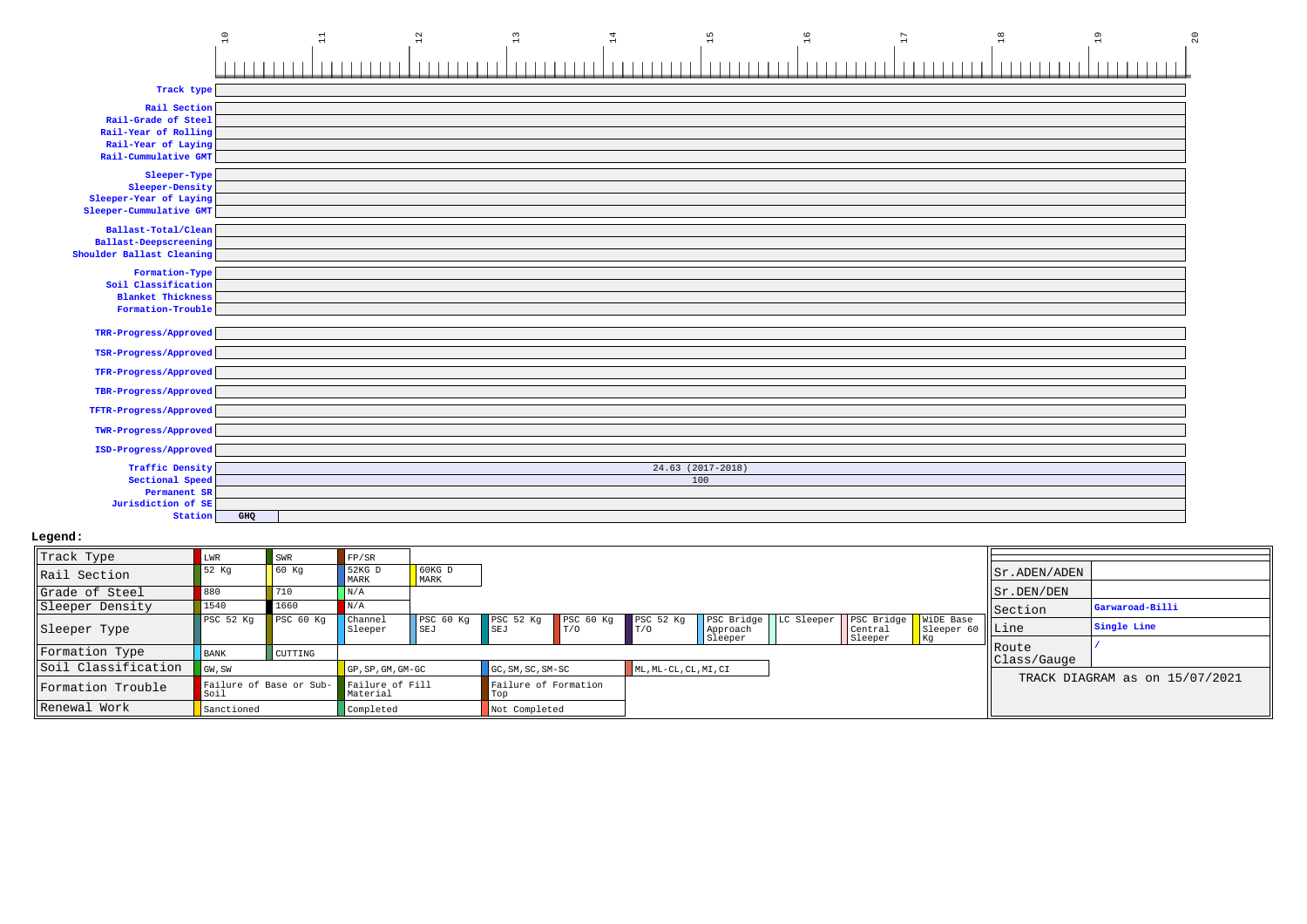|                                             | $\ensuremath{\mathsf{1}\,}\xspace$<br>$\Xi$ | $\overline{12}$<br>$\frac{1}{3}$ | 14 | 15                  | $\frac{6}{1}$<br>$17\,$ | $\frac{8}{1}$ | 19<br>20 |
|---------------------------------------------|---------------------------------------------|----------------------------------|----|---------------------|-------------------------|---------------|----------|
|                                             |                                             |                                  |    |                     |                         |               |          |
| Track type                                  |                                             |                                  |    |                     |                         |               |          |
| Rail Section                                |                                             |                                  |    |                     |                         |               |          |
| Rail-Grade of Steel<br>Rail-Year of Rolling |                                             |                                  |    |                     |                         |               |          |
| Rail-Year of Laying                         |                                             |                                  |    |                     |                         |               |          |
| Rail-Cummulative GMT                        |                                             |                                  |    |                     |                         |               |          |
| Sleeper-Type                                |                                             |                                  |    |                     |                         |               |          |
| Sleeper-Density                             |                                             |                                  |    |                     |                         |               |          |
| Sleeper-Year of Laying                      |                                             |                                  |    |                     |                         |               |          |
| Sleeper-Cummulative GMT                     |                                             |                                  |    |                     |                         |               |          |
| Ballast-Total/Clean                         |                                             |                                  |    |                     |                         |               |          |
| <b>Ballast-Deepscreening</b>                |                                             |                                  |    |                     |                         |               |          |
| Shoulder Ballast Cleaning                   |                                             |                                  |    |                     |                         |               |          |
| Formation-Type                              |                                             |                                  |    |                     |                         |               |          |
| Soil Classification                         |                                             |                                  |    |                     |                         |               |          |
| <b>Blanket Thickness</b>                    |                                             |                                  |    |                     |                         |               |          |
| Formation-Trouble                           |                                             |                                  |    |                     |                         |               |          |
| TRR-Progress/Approved                       |                                             |                                  |    |                     |                         |               |          |
| TSR-Progress/Approved                       |                                             |                                  |    |                     |                         |               |          |
| TFR-Progress/Approved                       |                                             |                                  |    |                     |                         |               |          |
| TBR-Progress/Approved                       |                                             |                                  |    |                     |                         |               |          |
| TFTR-Progress/Approved                      |                                             |                                  |    |                     |                         |               |          |
| TWR-Progress/Approved                       |                                             |                                  |    |                     |                         |               |          |
|                                             |                                             |                                  |    |                     |                         |               |          |
| ISD-Progress/Approved                       |                                             |                                  |    |                     |                         |               |          |
| <b>Traffic Density</b>                      |                                             |                                  |    | $24.63$ (2017-2018) |                         |               |          |
| Sectional Speed                             |                                             |                                  |    | 100                 |                         |               |          |
| Permanent SR                                |                                             |                                  |    |                     |                         |               |          |
| Jurisdiction of SE                          |                                             |                                  |    |                     |                         |               |          |
| Station                                     | GHQ                                         |                                  |    |                     |                         |               |          |

| Track Type          | LWR                             | <b>SWR</b>     | FP/SR                       |                  |                                   |                    |                             |                        |                                                  |                                  |              |                                |
|---------------------|---------------------------------|----------------|-----------------------------|------------------|-----------------------------------|--------------------|-----------------------------|------------------------|--------------------------------------------------|----------------------------------|--------------|--------------------------------|
| Rail Section        | 52 Kq                           | 60 Kq          | 52KG D<br>MARK              | $60KG$ D<br>MARK |                                   |                    |                             |                        |                                                  |                                  | Sr.ADEN/ADEN |                                |
| Grade of Steel      | 880                             | 710            | $\vert N/A \vert$           |                  |                                   |                    |                             |                        |                                                  |                                  | Sr.DEN/DEN   |                                |
| Sleeper Density     | 1540                            | 1660           | N/A                         |                  |                                   |                    |                             |                        |                                                  |                                  | Section      | Garwaroad-Billi                |
| Sleeper Type        | PSC 52 Kg                       | PSC 60 Kq      | Channel<br>Sleeper          | PSC 60 Kg<br>SEJ | PSC 52 Kg PSC 60 Kg<br><b>SEJ</b> | $\blacksquare$ T/O | PSC <sub>52 Kq</sub><br>T/0 | PSC Bridge<br>Approach | LC Sleeper   PSC Bridge   WiDE Base<br>  Central | $\vert$ Sleeper 60 $\vert$  Line |              | Single Line                    |
|                     |                                 |                |                             |                  |                                   |                    |                             | Sleeper                | Sleeper                                          | l Kq                             | Route        |                                |
| Formation Type      | <b>BANK</b>                     | <b>CUTTING</b> |                             |                  |                                   |                    |                             |                        |                                                  |                                  | Class/Gauge  |                                |
| Soil Classification | GW, SW                          |                | GP, SP, GM, GM-GC           |                  | $GC, SM, SC, SM-SC$               |                    | ML, ML-CL, CL, MI, CI       |                        |                                                  |                                  |              |                                |
| Formation Trouble   | Failure of Base or Sub-<br>Soil |                | Failure of Fill<br>Material |                  | Failure of Formation<br>Top       |                    |                             |                        |                                                  |                                  |              | TRACK DIAGRAM as on 15/07/2021 |
| Renewal Work        | Sanctioned                      |                | Completed                   |                  | Not Completed                     |                    |                             |                        |                                                  |                                  |              |                                |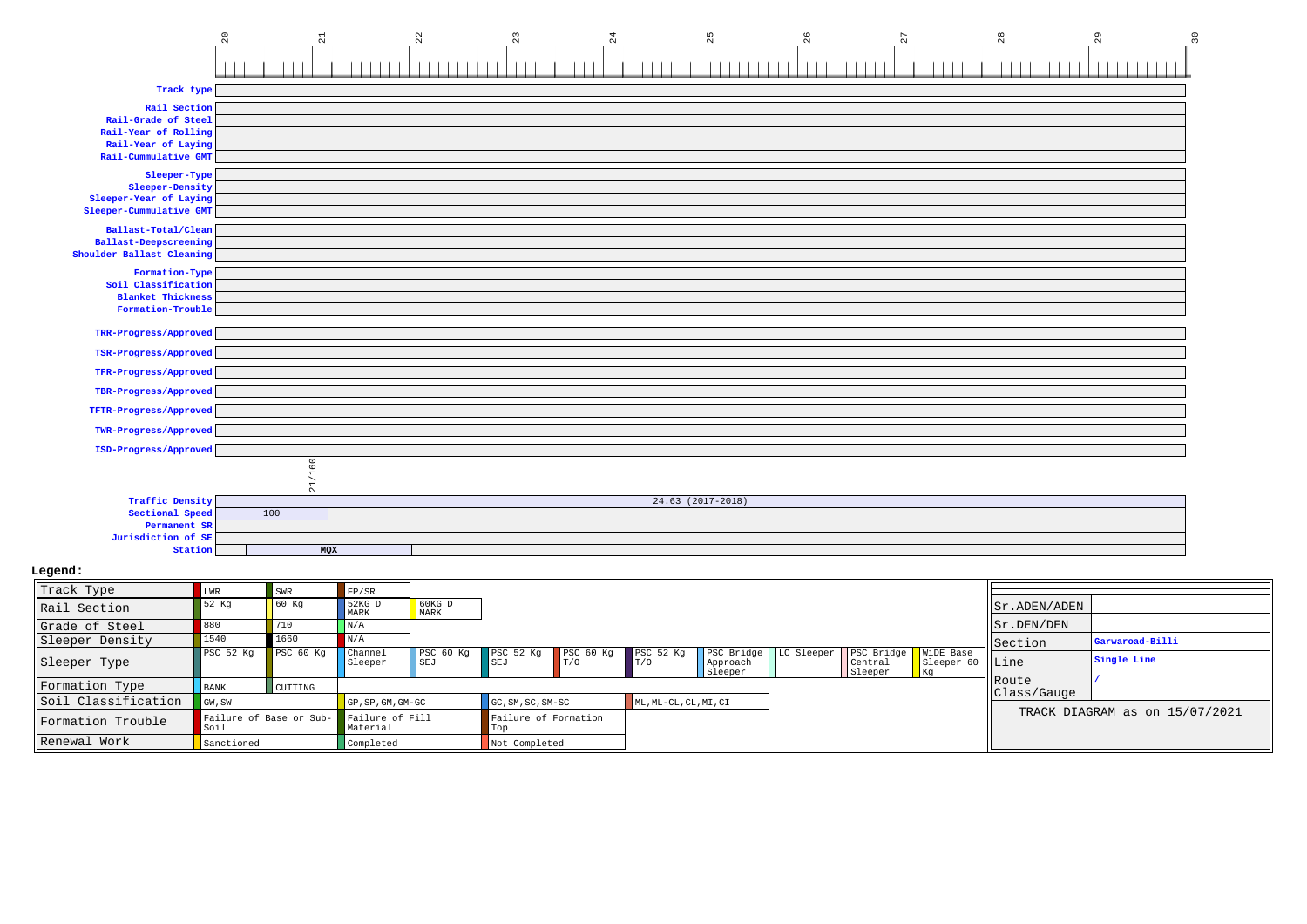

| Track Type          | <b>LWR</b>          | <b>SWR</b>                              | FP/SR              |                         |                             |                                 |                       |          |                                                                    |                  |                 |                                |
|---------------------|---------------------|-----------------------------------------|--------------------|-------------------------|-----------------------------|---------------------------------|-----------------------|----------|--------------------------------------------------------------------|------------------|-----------------|--------------------------------|
| Rail Section        | 52 Kq               | 60 Kq                                   | 52KG D<br>MARK     | $60KG$ D<br>MARK        |                             |                                 |                       |          |                                                                    |                  | Sr.ADEN/ADEN    |                                |
| Grade of Steel      | 880                 | 710                                     | N/A                |                         |                             |                                 |                       |          |                                                                    |                  | $  $ Sr.DEN/DEN |                                |
| Sleeper Density     | 1540                | 1660                                    |                    |                         |                             |                                 |                       |          |                                                                    |                  | Section         | Garwaroad-Billi                |
| Sleeper Type        | PSC 52 Kg PSC 60 Kg |                                         | Channel<br>Sleeper | PSC 60 Kg<br><b>SEJ</b> | PSC 52 Kg<br><b>SEJ</b>     | PSC 60 Kq<br>$\blacksquare$ T/O | PSC 52 Kg<br>T/0      | Approach | <b>PSC Bridge</b>   LC Sleeper   PSC Bridge   WiDE Base<br>Central | Sleeper 60 WLine |                 | Single Line                    |
| Formation Type      |                     |                                         |                    |                         |                             |                                 |                       | Sleeper  | Sleeper                                                            | <b>Kg</b>        | Route           |                                |
|                     | <b>BANK</b>         | CUTTING                                 |                    |                         |                             |                                 |                       |          |                                                                    |                  | Class/Gauge     |                                |
| Soil Classification | GW, SW              |                                         | GP, SP, GM, GM-GC  |                         | GC, SM, SC, SM-SC           |                                 | ML, ML-CL, CL, MI, CI |          |                                                                    |                  |                 |                                |
| Formation Trouble   | Soil                | Failure of Base or Sub- Failure of Fill | Material           |                         | Failure of Formation<br>Top |                                 |                       |          |                                                                    |                  |                 | TRACK DIAGRAM as on 15/07/2021 |
| Renewal Work        | Sanctioned          |                                         | Completed          |                         | Not Completed               |                                 |                       |          |                                                                    |                  |                 |                                |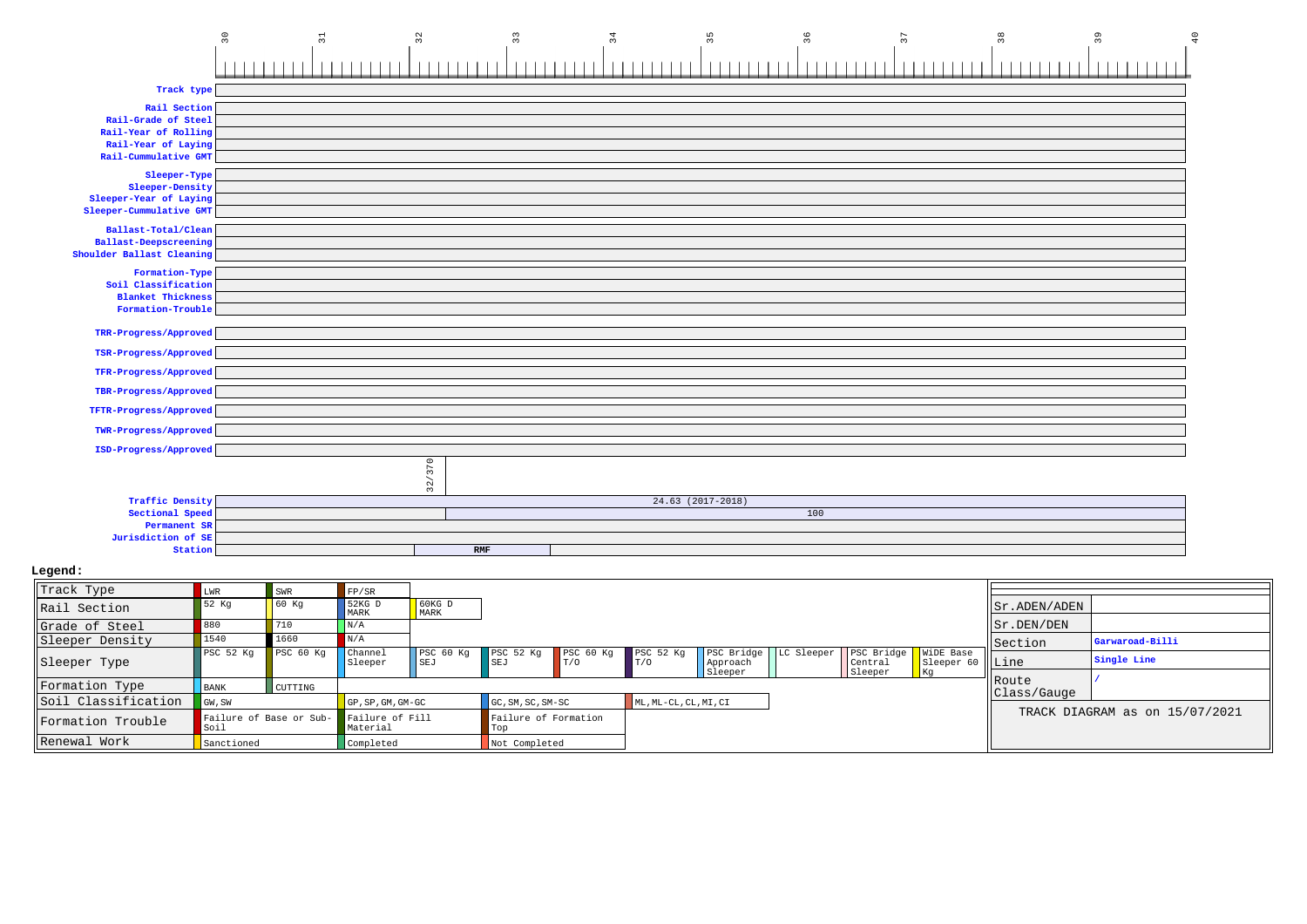|                                              | 30<br>$\overline{5}$ | 32<br>33                             | 34 | 35                | 36  | 38 | 39<br>40 |
|----------------------------------------------|----------------------|--------------------------------------|----|-------------------|-----|----|----------|
|                                              |                      |                                      |    |                   |     |    |          |
|                                              |                      |                                      |    |                   |     |    |          |
| Track type                                   |                      |                                      |    |                   |     |    |          |
| Rail Section                                 |                      |                                      |    |                   |     |    |          |
| Rail-Grade of Steel                          |                      |                                      |    |                   |     |    |          |
| Rail-Year of Rolling                         |                      |                                      |    |                   |     |    |          |
| Rail-Year of Laying                          |                      |                                      |    |                   |     |    |          |
| Rail-Cummulative GMT                         |                      |                                      |    |                   |     |    |          |
| Sleeper-Type                                 |                      |                                      |    |                   |     |    |          |
| Sleeper-Density<br>Sleeper-Year of Laying    |                      |                                      |    |                   |     |    |          |
| Sleeper-Cummulative GMT                      |                      |                                      |    |                   |     |    |          |
|                                              |                      |                                      |    |                   |     |    |          |
| Ballast-Total/Clean<br>Ballast-Deepscreening |                      |                                      |    |                   |     |    |          |
| Shoulder Ballast Cleaning                    |                      |                                      |    |                   |     |    |          |
| Formation-Type                               |                      |                                      |    |                   |     |    |          |
| Soil Classification                          |                      |                                      |    |                   |     |    |          |
| <b>Blanket Thickness</b>                     |                      |                                      |    |                   |     |    |          |
| Formation-Trouble                            |                      |                                      |    |                   |     |    |          |
|                                              |                      |                                      |    |                   |     |    |          |
| TRR-Progress/Approved                        |                      |                                      |    |                   |     |    |          |
| TSR-Progress/Approved                        |                      |                                      |    |                   |     |    |          |
| TFR-Progress/Approved                        |                      |                                      |    |                   |     |    |          |
| TBR-Progress/Approved                        |                      |                                      |    |                   |     |    |          |
| TFTR-Progress/Approved                       |                      |                                      |    |                   |     |    |          |
|                                              |                      |                                      |    |                   |     |    |          |
| TWR-Progress/Approved                        |                      |                                      |    |                   |     |    |          |
| ISD-Progress/Approved                        |                      |                                      |    |                   |     |    |          |
|                                              |                      |                                      |    |                   |     |    |          |
|                                              |                      | 32/370                               |    |                   |     |    |          |
| <b>Traffic Density</b>                       |                      |                                      |    | 24.63 (2017-2018) |     |    |          |
| Sectional Speed                              |                      |                                      |    |                   | 100 |    |          |
| Permanent SR                                 |                      |                                      |    |                   |     |    |          |
| Jurisdiction of SE                           |                      |                                      |    |                   |     |    |          |
| Station                                      |                      | $\ensuremath{\mathbb{R}\mathrm{MF}}$ |    |                   |     |    |          |

| Track Type          | LWR                             | SWR                              | FP/SR                       |                  |                             |                             |                       |          |                                                               |                   |              |                                |
|---------------------|---------------------------------|----------------------------------|-----------------------------|------------------|-----------------------------|-----------------------------|-----------------------|----------|---------------------------------------------------------------|-------------------|--------------|--------------------------------|
| Rail Section        | 52 Kq                           | 60 Kq                            | 52KG D<br>MARK              | $60KG$ D<br>MARK |                             |                             |                       |          |                                                               |                   | Sr.ADEN/ADEN |                                |
| Grade of Steel      | 880                             | 710                              | N/A                         |                  |                             |                             |                       |          |                                                               |                   | Sr.DEN/DEN   |                                |
| Sleeper Density     | 1540                            | 1660                             | N/A                         |                  |                             |                             |                       |          |                                                               |                   | Section      | Garwaroad-Billi                |
| Sleeper Type        | $l$ PSC 52 Kg                   | PSC <sub>60</sub> K <sub>q</sub> | Channel<br>Sleeper          | PSC 60 Kg<br>SEJ | PSC 52 Kg<br>SEJ            | PSC <sub>60 Kq</sub><br>T/O | PSC 52 Kq<br>T/O      | Approach | PSC Bridge   LC Sleeper   PSC Bridge   WiDE Base<br>  Central | Sleeper 60   Line |              | Single Line                    |
| Formation Type      | BANK                            | CUTTING                          |                             |                  |                             |                             |                       | Sleeper  | Sleeper                                                       | <b>Kg</b>         | l Route      |                                |
| Soil Classification | GW, SW                          |                                  | GP, SP, GM, GM-GC           |                  | GC, SM, SC, SM-SC           |                             | ML, ML-CL, CL, MI, CI |          |                                                               |                   | Class/Gauge  |                                |
| Formation Trouble   | Failure of Base or Sub-<br>Soil |                                  | Failure of Fill<br>Material |                  | Failure of Formation<br>Top |                             |                       |          |                                                               |                   |              | TRACK DIAGRAM as on 15/07/2021 |
| Renewal Work        | Sanctioned                      |                                  | Completed                   |                  | Not Completed               |                             |                       |          |                                                               |                   |              |                                |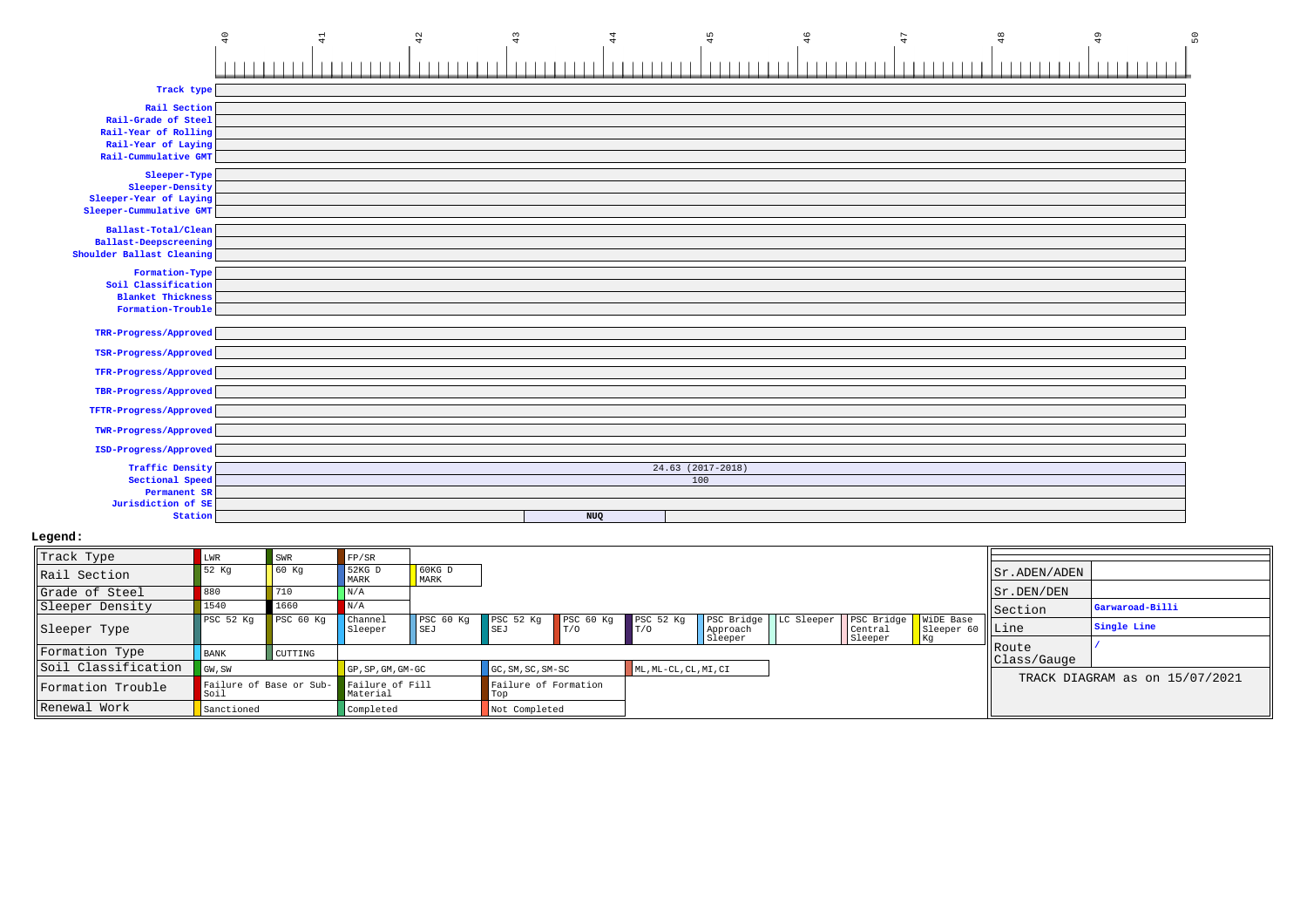|                              | 40<br>$\Xi$ | 42 | 43 | $^{44}$ | 45                  | 46 | 47 | 48 | 49 | ΡŐ. |
|------------------------------|-------------|----|----|---------|---------------------|----|----|----|----|-----|
|                              |             |    |    |         |                     |    |    |    |    |     |
| Track type                   |             |    |    |         |                     |    |    |    |    |     |
| Rail Section                 |             |    |    |         |                     |    |    |    |    |     |
| Rail-Grade of Steel          |             |    |    |         |                     |    |    |    |    |     |
| Rail-Year of Rolling         |             |    |    |         |                     |    |    |    |    |     |
| Rail-Year of Laying          |             |    |    |         |                     |    |    |    |    |     |
| Rail-Cummulative GMT         |             |    |    |         |                     |    |    |    |    |     |
| Sleeper-Type                 |             |    |    |         |                     |    |    |    |    |     |
| Sleeper-Density              |             |    |    |         |                     |    |    |    |    |     |
| Sleeper-Year of Laying       |             |    |    |         |                     |    |    |    |    |     |
| Sleeper-Cummulative GMT      |             |    |    |         |                     |    |    |    |    |     |
| Ballast-Total/Clean          |             |    |    |         |                     |    |    |    |    |     |
| <b>Ballast-Deepscreening</b> |             |    |    |         |                     |    |    |    |    |     |
| Shoulder Ballast Cleaning    |             |    |    |         |                     |    |    |    |    |     |
| Formation-Type               |             |    |    |         |                     |    |    |    |    |     |
| Soil Classification          |             |    |    |         |                     |    |    |    |    |     |
| <b>Blanket Thickness</b>     |             |    |    |         |                     |    |    |    |    |     |
| Formation-Trouble            |             |    |    |         |                     |    |    |    |    |     |
| TRR-Progress/Approved        |             |    |    |         |                     |    |    |    |    |     |
|                              |             |    |    |         |                     |    |    |    |    |     |
| TSR-Progress/Approved        |             |    |    |         |                     |    |    |    |    |     |
| TFR-Progress/Approved        |             |    |    |         |                     |    |    |    |    |     |
| TBR-Progress/Approved        |             |    |    |         |                     |    |    |    |    |     |
| TFTR-Progress/Approved       |             |    |    |         |                     |    |    |    |    |     |
| TWR-Progress/Approved        |             |    |    |         |                     |    |    |    |    |     |
| ISD-Progress/Approved        |             |    |    |         |                     |    |    |    |    |     |
| <b>Traffic Density</b>       |             |    |    |         | $24.63$ (2017-2018) |    |    |    |    |     |
| Sectional Speed              |             |    |    |         | 100                 |    |    |    |    |     |
| Permanent SR                 |             |    |    |         |                     |    |    |    |    |     |
| Jurisdiction of SE           |             |    |    |         |                     |    |    |    |    |     |
| Station                      |             |    |    | NUQ     |                     |    |    |    |    |     |
|                              |             |    |    |         |                     |    |    |    |    |     |

| Track Type          | LWR                             | SWR       | FP/SR                            |                  |                                   |             |                             |          |                                                                      |                   |              |                                |
|---------------------|---------------------------------|-----------|----------------------------------|------------------|-----------------------------------|-------------|-----------------------------|----------|----------------------------------------------------------------------|-------------------|--------------|--------------------------------|
| Rail Section        | 52 Kq                           | 60 Kq     | 52KG D<br><b>MARK</b>            | $60KG$ D<br>MARK |                                   |             |                             |          |                                                                      |                   | Sr.ADEN/ADEN |                                |
| Grade of Steel      | 880                             | 710       | $\vert N/A \vert$                |                  |                                   |             |                             |          |                                                                      |                   | Sr.DEN/DEN   |                                |
| Sleeper Density     | 1540                            | 1660      | N/A                              |                  |                                   |             |                             |          |                                                                      |                   | Section      | Garwaroad-Billi                |
| Sleeper Type        | PSC <sub>52</sub> Kq            | PSC 60 Kq | <b>Channel</b><br>Sleeper        | PSC 60 Kg<br>SEJ | PSC 52 Kg PSC 60 Kg<br><b>SEJ</b> | $\vert$ T/O | PSC <sub>52 Kq</sub><br>T/0 | Approach | <b>PSC Bridge</b>   LC Sleeper   PSC Bridge   WiDE Base<br>  Central | Sleeper 60   Line |              | Single Line                    |
|                     |                                 |           |                                  |                  |                                   |             |                             | Sleeper  | Sleeper                                                              | Kg                | Route        |                                |
| Formation Type      | <b>BANK</b>                     | CUTTING   |                                  |                  |                                   |             |                             |          |                                                                      |                   | Class/Gauge  |                                |
| Soil Classification | GW, SW                          |           | $GP$ , $SP$ , $GM$ , $GM$ - $GC$ |                  | $GC, SM, SC, SM-SC$               |             | ML, ML-CL, CL, MI, CI       |          |                                                                      |                   |              |                                |
| Formation Trouble   | Failure of Base or Sub-<br>Soil |           | Failure of Fill<br>Material      |                  | Failure of Formation<br>Top       |             |                             |          |                                                                      |                   |              | TRACK DIAGRAM as on 15/07/2021 |
| Renewal Work        | Sanctioned                      |           | Completed                        |                  | Not Completed                     |             |                             |          |                                                                      |                   |              |                                |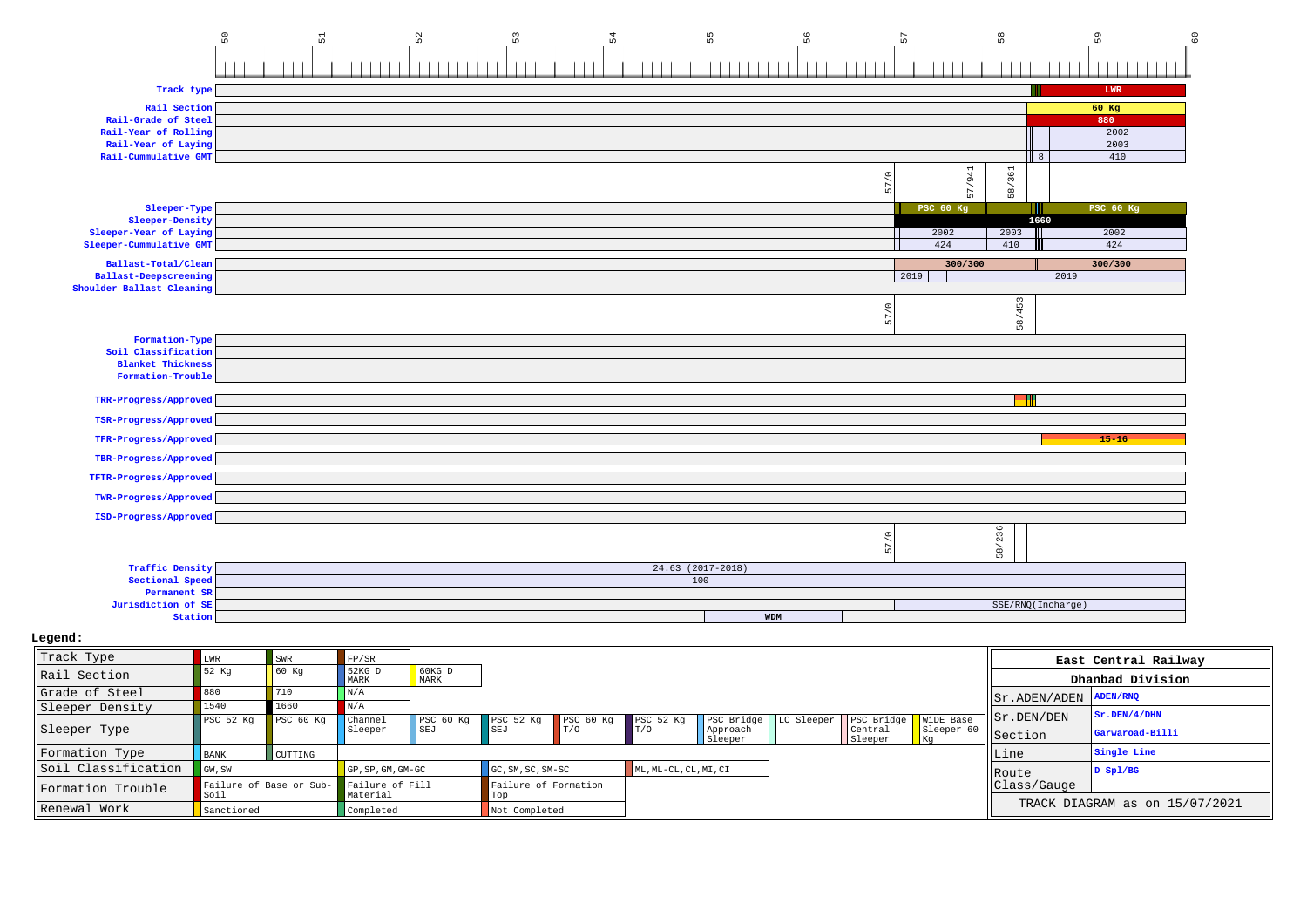|                                             | $\sqrt{5}$<br>55<br>52<br>53<br>56<br>51<br>54 | 57                  | $58$                           | 59                | $\overline{6}$ |
|---------------------------------------------|------------------------------------------------|---------------------|--------------------------------|-------------------|----------------|
|                                             |                                                |                     |                                |                   |                |
|                                             |                                                |                     |                                |                   |                |
| Track type                                  |                                                |                     |                                | ${\tt LWR}$       |                |
| Rail Section                                |                                                |                     |                                | $60$ Kg           |                |
| Rail-Grade of Steel                         |                                                |                     |                                | 880               |                |
| Rail-Year of Rolling                        |                                                |                     |                                | 2002              |                |
| Rail-Year of Laying<br>Rail-Cummulative GMT |                                                |                     |                                | 2003<br>410<br>8  |                |
|                                             |                                                |                     |                                |                   |                |
|                                             |                                                | /941<br>57/0<br>57. | 58/361                         |                   |                |
| Sleeper-Type                                |                                                | <b>PSC 60 Kg</b>    |                                | <b>PSC 60 Kg</b>  |                |
| Sleeper-Density                             |                                                |                     |                                | 1660              |                |
| Sleeper-Year of Laying                      |                                                | 2002                | 2003                           | 2002              |                |
| Sleeper-Cummulative GMT                     |                                                | 424                 | 410                            | 424               |                |
| Ballast-Total/Clean                         |                                                | 300/300             |                                | 300/300           |                |
| Ballast-Deepscreening                       |                                                | 2019                |                                | 2019              |                |
| Shoulder Ballast Cleaning                   |                                                |                     |                                |                   |                |
|                                             |                                                | 57/0                | 58/453                         |                   |                |
| Formation-Type                              |                                                |                     |                                |                   |                |
| Soil Classification                         |                                                |                     |                                |                   |                |
| <b>Blanket Thickness</b>                    |                                                |                     |                                |                   |                |
| Formation-Trouble                           |                                                |                     |                                |                   |                |
| TRR-Progress/Approved                       |                                                |                     |                                |                   |                |
| TSR-Progress/Approved                       |                                                |                     |                                |                   |                |
| TFR-Progress/Approved                       |                                                |                     |                                | $15 - 16$         |                |
| TBR-Progress/Approved                       |                                                |                     |                                |                   |                |
| TFTR-Progress/Approved                      |                                                |                     |                                |                   |                |
| TWR-Progress/Approved                       |                                                |                     |                                |                   |                |
| ISD-Progress/Approved                       |                                                |                     |                                |                   |                |
|                                             |                                                | 57/0                | 236                            |                   |                |
|                                             |                                                |                     | $\overline{\phantom{a}}$<br>58 |                   |                |
| <b>Traffic Density</b>                      | 24.63 (2017-2018)                              |                     |                                |                   |                |
| Sectional Speed                             | 100                                            |                     |                                |                   |                |
| Permanent SR                                |                                                |                     |                                |                   |                |
| Jurisdiction of SE                          |                                                |                     |                                | SSE/RNQ(Incharge) |                |
| Station                                     | <b>WDM</b>                                     |                     |                                |                   |                |
| Legend:                                     |                                                |                     |                                |                   |                |

| Track Type          | LWR                             | SWR       | FP/SR                        |                  |                             |                      |                       |                         |                        |                  |                                                                   | East Central Railway           |
|---------------------|---------------------------------|-----------|------------------------------|------------------|-----------------------------|----------------------|-----------------------|-------------------------|------------------------|------------------|-------------------------------------------------------------------|--------------------------------|
| Rail Section        | <b>52 Kg</b>                    | 60 Kq     | 52KG D<br><b>MARK</b>        | $60KG$ D<br>MARK |                             |                      |                       |                         |                        |                  |                                                                   | Dhanbad Division               |
| Grade of Steel      | 880                             | 710       | $\vert$ N/A                  |                  |                             |                      |                       |                         |                        |                  | $\sqrt{\text{ST ADEN} / \text{ADEN} / \text{ADEN} / \text{RNP}}}$ |                                |
| Sleeper Density     | 1540                            | 1660      |                              |                  |                             |                      |                       |                         |                        |                  |                                                                   | Sr.DEN/4/DHN                   |
|                     | PSC 52 Kg                       | PSC 60 Kg | Channel                      | PSC 60 Kg        | PSC <sub>52</sub> Kq        | PSC <sub>60 Kq</sub> | PSC <sub>52 Kq</sub>  | PSC Bridge   LC Sleeper | PSC Bridge   WiDE Base |                  | Sr.DEN/DEN                                                        |                                |
| Sleeper Type        |                                 |           | Sleeper                      | SEJ              | SEJ                         | T/0                  | $\blacksquare$ T/O    | Approach<br>Sleeper     | Central<br>Sleeper     | Sleeper 60<br>Kq | Section                                                           | Garwaroad-Billi                |
| Formation Type      | <b>BANK</b>                     | CUTTING   |                              |                  |                             |                      |                       |                         |                        |                  | lLine                                                             | Single Line                    |
| Soil Classification | GW, SW                          |           | $GP$ , $SP$ , $GM$ , $GM-GC$ |                  | GC, SM, SC, SM-SC           |                      | ML, ML-CL, CL, MI, CI |                         |                        |                  | <b>IRoute</b>                                                     | $D$ Spl/BG                     |
| Formation Trouble   | Failure of Base or Sub-<br>Soil |           | Failure of Fill<br>Material  |                  | Failure of Formation<br>Тор |                      |                       |                         |                        |                  | Class/Gauge                                                       |                                |
| Renewal Work        | Sanctioned                      |           | Completed                    |                  | Not Completed               |                      |                       |                         |                        |                  |                                                                   | TRACK DIAGRAM as on 15/07/2021 |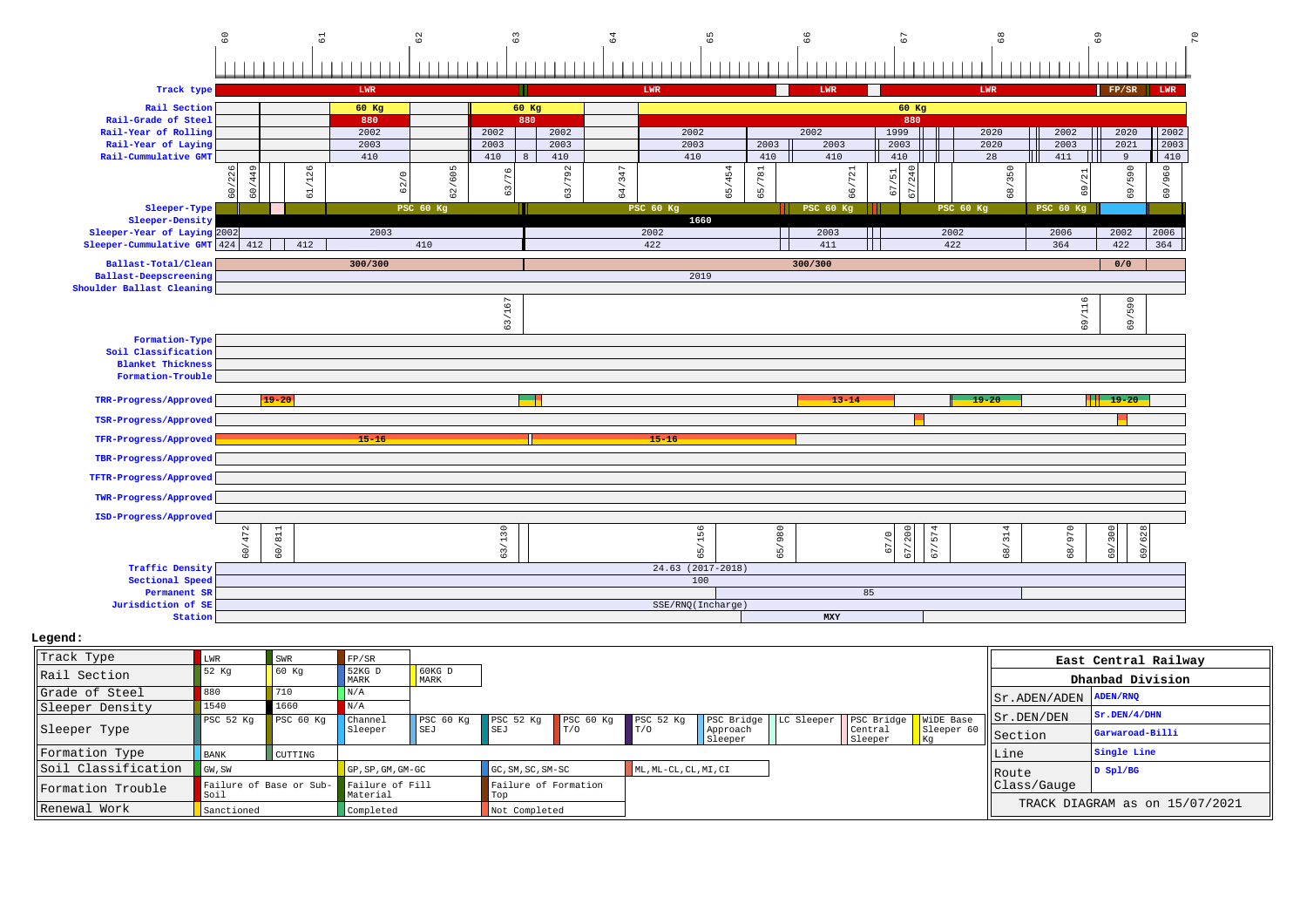

| Track Type          | LWR                  | <b>SWR</b>                              | FP/SR                           |                  |                             |          |                       |                         |                        |                      |                                  | East Central Railway           |
|---------------------|----------------------|-----------------------------------------|---------------------------------|------------------|-----------------------------|----------|-----------------------|-------------------------|------------------------|----------------------|----------------------------------|--------------------------------|
| Rail Section        | 52 Kq                | 60 Kq                                   | $52KG$ D<br>MARK                | $60KG$ D<br>MARK |                             |          |                       |                         |                        |                      |                                  | Dhanbad Division               |
| Grade of Steel      | 880                  | 710                                     | N/A                             |                  |                             |          |                       |                         |                        |                      | $  $ Sr. ADEN/ADEN $  $ ADEN/RNQ |                                |
| Sleeper Density     | 1540                 | 1660                                    | N/A                             |                  |                             |          |                       |                         |                        |                      |                                  |                                |
|                     | PSC <sub>52</sub> Kq | PSC <sub>60 Kq</sub>                    | <b>Channel</b>                  | PSC 60 Kg        | PSC 52 Kg PSC 60 Kg         |          | PSC <sub>52 Kq</sub>  | PSC Bridge   LC Sleeper | PSC Bridge   WiDE Base |                      | Sr.DEN/DEN                       | Sr.DEN/4/DHN                   |
| Sleeper Type        |                      |                                         | Sleeper                         | SEJ              | <b>SEJ</b>                  | $\Gamma$ | T/0                   | Approach<br>Sleeper     | Central<br>Sleeper     | Sleeper<br><b>Kg</b> | Section                          | Garwaroad-Billi                |
| Formation Type      | <b>BANK</b>          | CUTTING                                 |                                 |                  |                             |          |                       |                         |                        |                      | Line                             | Single Line                    |
| Soil Classification | GW, SW               |                                         | $\overline{GP}$ , SP, GM, GM-GC |                  | $GC, SM, SC, SM-SC$         |          | ML, ML-CL, CL, MI, CI |                         |                        |                      | Route                            | D Spl/BG                       |
| Formation Trouble   | Soil                 | Failure of Base or Sub- Failure of Fill | Material                        |                  | Failure of Formation<br>Top |          |                       |                         |                        |                      | Class/Gauge                      |                                |
| Renewal Work        | Sanctioned           |                                         | Completed                       |                  | Not Completed               |          |                       |                         |                        |                      |                                  | TRACK DIAGRAM as on 15/07/2021 |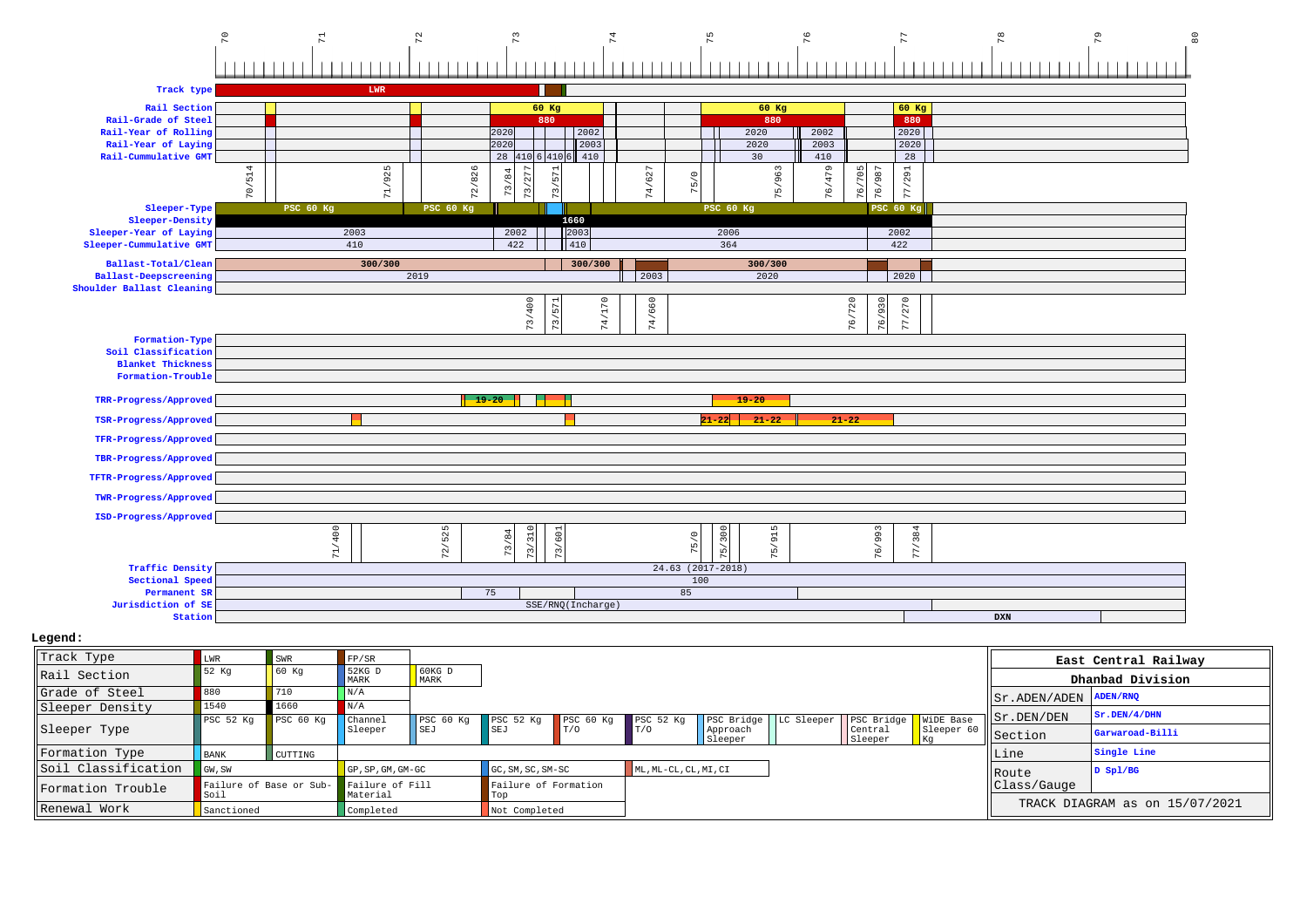

| Grade of Steel      | 880                          |           |                                 |                      |                                       |     |                       |                     |                                                  |                    |                  | Sr.ADEN/ADEN ADEN/RNQ |                                |
|---------------------|------------------------------|-----------|---------------------------------|----------------------|---------------------------------------|-----|-----------------------|---------------------|--------------------------------------------------|--------------------|------------------|-----------------------|--------------------------------|
| Sleeper Density     | 1540<br>PSC <sub>52</sub> Kq | PSC 60 Kq | N/A<br>  Channel                | PSC <sub>60</sub> Kg | $\sqrt{PSC}$ 52 Kg $\sqrt{PSC}$ 60 Kg |     | PSC <sub>52</sub> Kq  |                     | PSC Bridge   LC Sleeper   PSC Bridge   WiDE Base |                    |                  | Sr.DEN/DEN            | Sr.DEN/4/DHN                   |
| Sleeper Type        |                              |           | Sleeper                         | SEJ                  | SEJ                                   | T/0 | T/O                   | Approach<br>Sleeper |                                                  | Central<br>Sleeper | Sleeper 60<br>Kg | Section               | Garwaroad-Billi                |
| Formation Type      | <b>BANK</b>                  | CUTTING   |                                 |                      |                                       |     |                       |                     |                                                  |                    |                  | Line                  | Single Line                    |
| Soil Classification | GW, SW                       |           | $GP$ , $SP$ , $GM$ , $GM$ $-GC$ |                      | GC, SM, SC, SM-SC                     |     | ML, ML-CL, CL, MI, CI |                     |                                                  |                    |                  | Route                 | D Sp1/BG                       |
| Formation Trouble   | Failure of Base or Sub-      |           | Failure of Fill                 |                      | Failure of Formation                  |     |                       |                     |                                                  |                    |                  | Class/Gauge           |                                |
| Renewal Work        | Soil<br>Sanctioned           |           | Material<br>Completed           |                      | rop<br>Not Completed                  |     |                       |                     |                                                  |                    |                  |                       | TRACK DIAGRAM as on 15/07/2021 |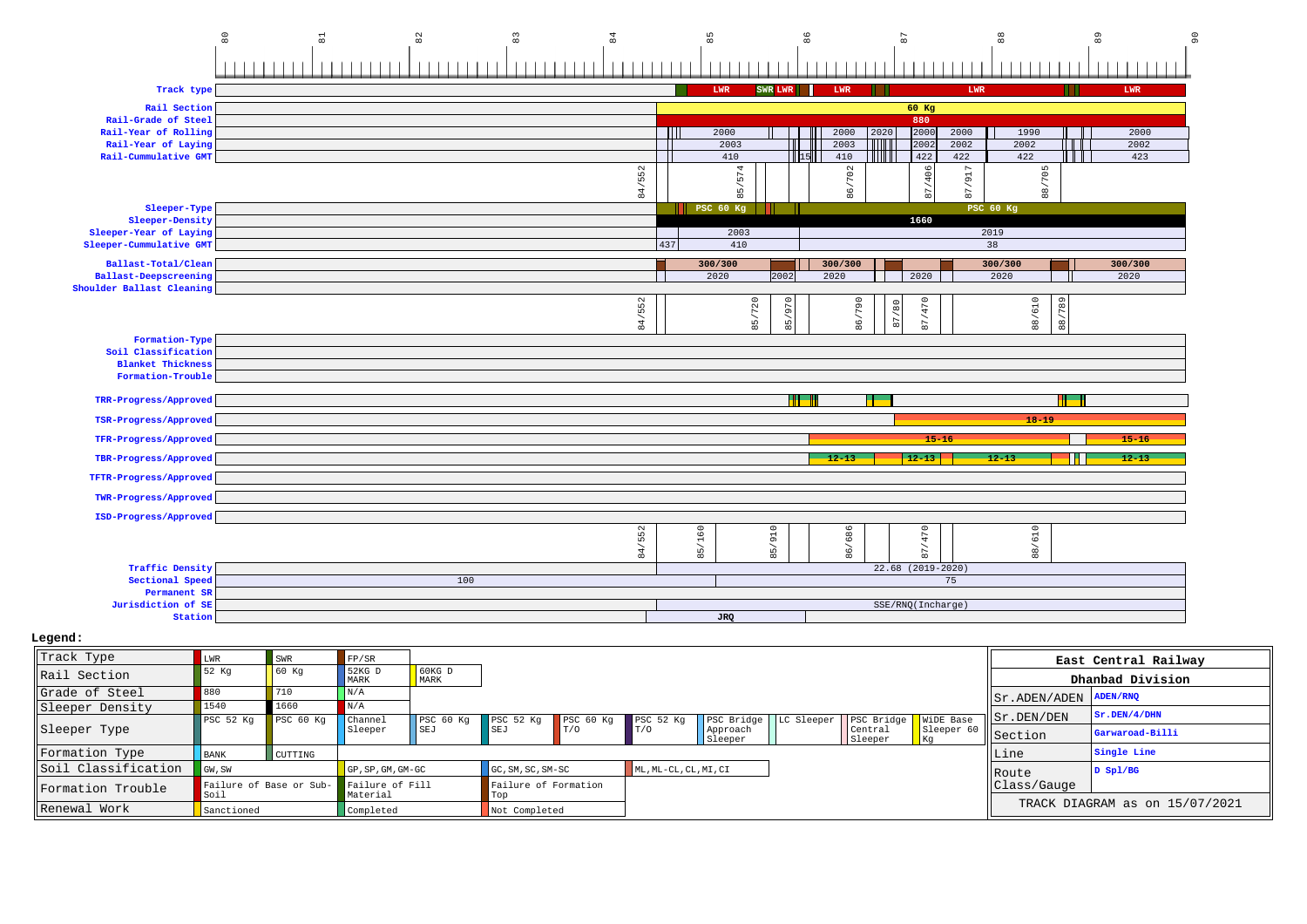|                                                           | $_{\rm 80}$ | $\Xi$ | $^{\circ}_{\infty}$ | $_{\rm 83}^{\circ}$ | 84     |        | $85$             | $^{86}$              |                 | 67                      |                            | $_{\rm 88}$             |             | 89            |             | $\circ$ |
|-----------------------------------------------------------|-------------|-------|---------------------|---------------------|--------|--------|------------------|----------------------|-----------------|-------------------------|----------------------------|-------------------------|-------------|---------------|-------------|---------|
|                                                           |             |       |                     |                     |        |        |                  |                      |                 |                         |                            |                         |             |               |             |         |
| Track type                                                |             |       |                     |                     |        |        | LWR              | SWR LWR              | <b>LWR</b>      |                         |                            | $_{\rm LWR}$            |             |               | LWR         |         |
| Rail Section                                              |             |       |                     |                     |        |        |                  |                      |                 |                         | 60 Kg                      |                         |             |               |             |         |
| Rail-Grade of Steel                                       |             |       |                     |                     |        |        |                  |                      |                 |                         | 880                        |                         |             |               |             |         |
| Rail-Year of Rolling                                      |             |       |                     |                     |        | TM     | 2000             |                      | 2000            | 2020                    | 2000<br>2000               |                         | 1990        |               | 2000        |         |
| Rail-Year of Laying<br>Rail-Cummulative GMT               |             |       |                     |                     |        |        | 2003<br>410      | П<br>$\prod$ 15      | 2003<br>410     | TITIIT<br><b>TITULI</b> | 2002<br>2002<br>422<br>422 |                         | 2002<br>422 |               | 2002<br>423 |         |
|                                                           |             |       |                     |                     |        |        |                  |                      |                 |                         |                            |                         |             |               |             |         |
|                                                           |             |       |                     |                     | 84/552 |        | 85/574           |                      | /702            |                         | 87/406                     | 7917                    | 88/705      |               |             |         |
| Sleeper-Type                                              |             |       |                     |                     |        |        | <b>PSC 60 Kg</b> |                      | $\overline{86}$ |                         |                            | 87.<br><b>PSC 60 Kg</b> |             |               |             |         |
| Sleeper-Density                                           |             |       |                     |                     |        |        |                  |                      |                 |                         | 1660                       |                         |             |               |             |         |
| Sleeper-Year of Laying                                    |             |       |                     |                     |        |        | 2003             |                      |                 |                         |                            | 2019                    |             |               |             |         |
| Sleeper-Cummulative GMT                                   |             |       |                     |                     |        | 437    | 410              |                      |                 |                         |                            | 38                      |             |               |             |         |
| Ballast-Total/Clean                                       |             |       |                     |                     |        |        | 300/300          |                      | 300/300         |                         |                            | 300/300                 |             |               | 300/300     |         |
| <b>Ballast-Deepscreening</b><br>Shoulder Ballast Cleaning |             |       |                     |                     |        |        | 2020             | 2002                 | 2020            |                         | 2020                       | 2020                    |             |               | 2020        |         |
|                                                           |             |       |                     |                     |        |        |                  |                      |                 |                         |                            |                         |             |               |             |         |
|                                                           |             |       |                     |                     | 84/552 |        | 85/720           | 970<br>$\frac{1}{2}$ | 86/790          | 87/80                   | 87/470                     |                         | 88/610      | '789          |             |         |
|                                                           |             |       |                     |                     |        |        |                  | $\infty$             |                 |                         |                            |                         |             | $\frac{8}{8}$ |             |         |
| Formation-Type<br>Soil Classification                     |             |       |                     |                     |        |        |                  |                      |                 |                         |                            |                         |             |               |             |         |
| <b>Blanket Thickness</b>                                  |             |       |                     |                     |        |        |                  |                      |                 |                         |                            |                         |             |               |             |         |
| Formation-Trouble                                         |             |       |                     |                     |        |        |                  |                      |                 |                         |                            |                         |             |               |             |         |
| TRR-Progress/Approved                                     |             |       |                     |                     |        |        |                  | a bar                |                 |                         |                            |                         |             |               |             |         |
| TSR-Progress/Approved                                     |             |       |                     |                     |        |        |                  |                      |                 |                         |                            |                         | $18 - 19$   |               |             |         |
| TFR-Progress/Approved                                     |             |       |                     |                     |        |        |                  |                      |                 |                         | $15 - 16$                  |                         |             |               | $15 - 16$   |         |
| TBR-Progress/Approved                                     |             |       |                     |                     |        |        |                  |                      | $-12-13$        |                         | $12 - 13$                  | $12 - 13$               |             |               | $12 - 13$   |         |
| TFTR-Progress/Approved                                    |             |       |                     |                     |        |        |                  |                      |                 |                         |                            |                         |             |               |             |         |
| TWR-Progress/Approved                                     |             |       |                     |                     |        |        |                  |                      |                 |                         |                            |                         |             |               |             |         |
| ISD-Progress/Approved                                     |             |       |                     |                     |        |        |                  |                      |                 |                         |                            |                         |             |               |             |         |
|                                                           |             |       |                     |                     |        |        |                  |                      |                 |                         |                            |                         | 610         |               |             |         |
|                                                           |             |       |                     |                     | 84/552 | 85/160 |                  | 85/910               | 86/686          |                         | 87/470                     |                         | $_{\rm 88}$ |               |             |         |
| <b>Traffic Density</b>                                    |             |       |                     |                     |        |        |                  |                      |                 |                         | 22.68 (2019-2020)          |                         |             |               |             |         |
| Sectional Speed                                           |             |       | 100                 |                     |        |        |                  |                      |                 |                         | 75                         |                         |             |               |             |         |
| Permanent SR                                              |             |       |                     |                     |        |        |                  |                      |                 |                         |                            |                         |             |               |             |         |
| Jurisdiction of SE<br>Station                             |             |       |                     |                     |        |        | <b>JRQ</b>       |                      |                 |                         | SSE/RNQ(Incharge)          |                         |             |               |             |         |
|                                                           |             |       |                     |                     |        |        |                  |                      |                 |                         |                            |                         |             |               |             |         |

| Track Type          | <b>LWR</b>                      | SWR       | FP/SR                       |                  |                             |     |                       |                     |                                                  |                    |                  |                                                      | East Central Railway           |
|---------------------|---------------------------------|-----------|-----------------------------|------------------|-----------------------------|-----|-----------------------|---------------------|--------------------------------------------------|--------------------|------------------|------------------------------------------------------|--------------------------------|
| Rail Section        | 52 Kq                           | 60 Kq     | 52KG D<br>MARK              | $60KG$ D<br>MARK |                             |     |                       |                     |                                                  |                    |                  |                                                      | Dhanbad Division               |
| Grade of Steel      | 880                             | 710       | N/A                         |                  |                             |     |                       |                     |                                                  |                    |                  | $ \text{Sr.ADEN}/\text{ADEN} \text{ADEN}/\text{RNP}$ |                                |
| Sleeper Density     | 1540                            | 1660      | N/A                         |                  |                             |     |                       |                     |                                                  |                    |                  |                                                      | Sr.DEN/4/DHN                   |
|                     | PSC 52 Kg                       | PSC 60 Kg | Channel                     | PSC 60 Kg        | PSC 52 Kg PSC 60 Kg         |     | PSC 52 Kq             |                     | PSC Bridge   LC Sleeper   PSC Bridge   WiDE Base |                    |                  | Sr.DEN/DEN                                           |                                |
| Sleeper Type        |                                 |           | Sleeper                     | SEJ              | SET                         | T/O | T/0                   | Approach<br>Sleeper |                                                  | Central<br>Sleeper | Sleeper 60<br>Kq | Section                                              | Garwaroad-Billi                |
| Formation Type      | <b>BANK</b>                     | CUTTING   |                             |                  |                             |     |                       |                     |                                                  |                    |                  | Line                                                 | Single Line                    |
| Soil Classification | GW, SW                          |           | GP, SP, GM, GM-GC           |                  | GC, SM, SC, SM-SC           |     | ML, ML-CL, CL, MI, CI |                     |                                                  |                    |                  | Route                                                | $D$ Spl/BG                     |
| Formation Trouble   | Failure of Base or Sub-<br>Soil |           | Failure of Fill<br>Material |                  | Failure of Formation<br>Top |     |                       |                     |                                                  |                    |                  | Class/Gauge                                          |                                |
| Renewal Work        | Sanctioned                      |           | Completed                   |                  | Not Completed               |     |                       |                     |                                                  |                    |                  |                                                      | TRACK DIAGRAM as on 15/07/2021 |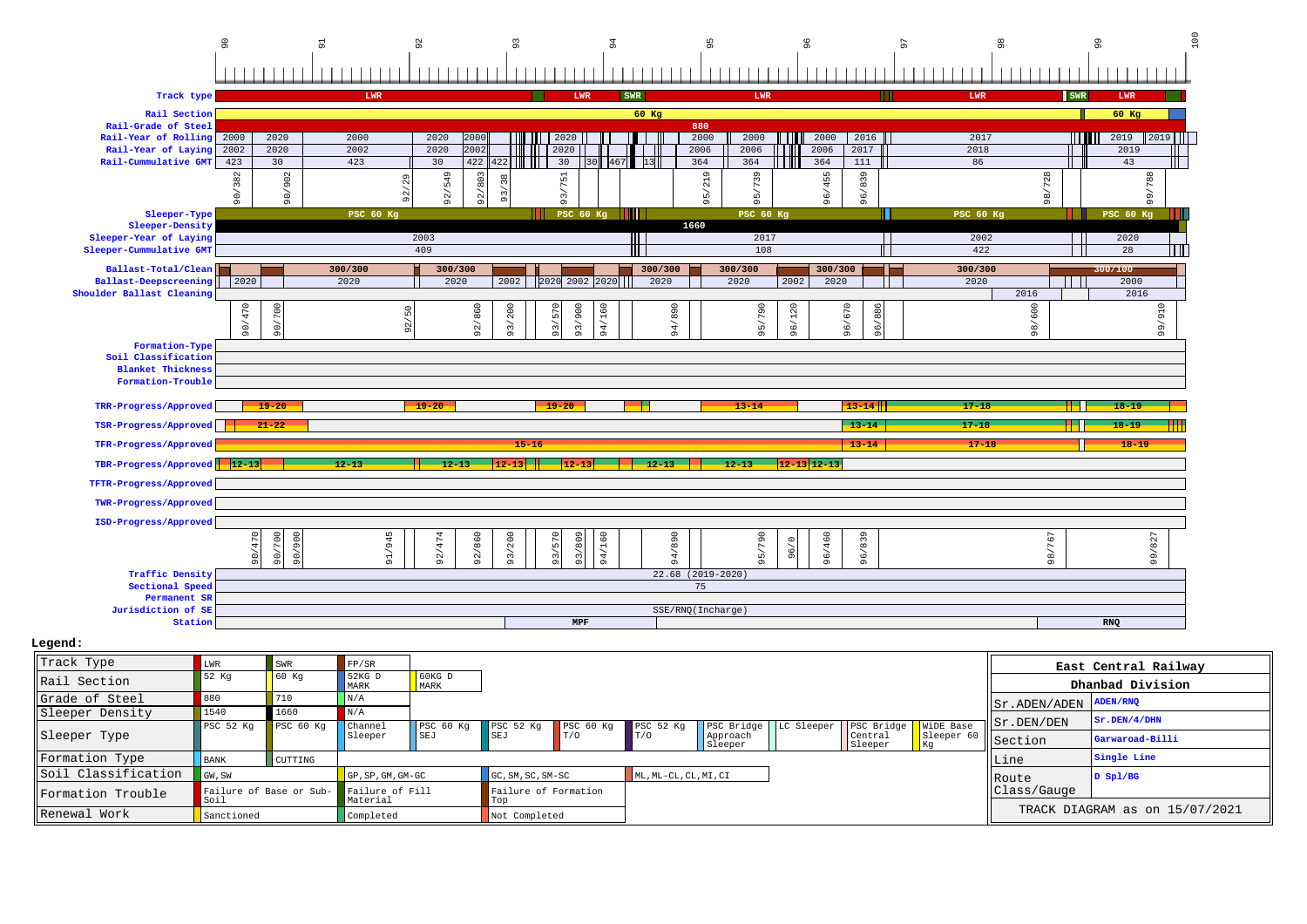|                                                                                        | $\sim$               |                     |                  | $\overline{9}$       |                          |                | $\overline{9}$  | 95                                 |                 | $\circ$         |                 | Ō          |                 | $\frac{8}{9}$ |                          | 99         |                 | 100 |
|----------------------------------------------------------------------------------------|----------------------|---------------------|------------------|----------------------|--------------------------|----------------|-----------------|------------------------------------|-----------------|-----------------|-----------------|------------|-----------------|---------------|--------------------------|------------|-----------------|-----|
|                                                                                        |                      |                     |                  |                      |                          |                |                 |                                    |                 |                 |                 |            |                 |               |                          |            |                 |     |
|                                                                                        |                      |                     |                  |                      |                          |                |                 |                                    |                 |                 |                 |            |                 |               |                          |            |                 |     |
| Track type                                                                             |                      |                     | LWR              |                      |                          | <b>LWR</b>     | <b>SWR</b>      |                                    | LWR             |                 |                 |            | <b>LWR</b>      |               |                          | <b>SWR</b> | LWR             |     |
| Rail Section                                                                           |                      |                     |                  |                      |                          |                | $60$ Kg         |                                    |                 |                 |                 |            |                 |               |                          |            | $60$ Kg         |     |
| Rail-Grade of Steel<br>Rail-Year of Rolling                                            | 2020<br>2000         | 2000                |                  | 2020<br>2000         |                          | 2020           |                 | 880<br>2000                        | 2000            | l III           | 2000            | 2016       |                 | 2017          |                          | i i i ili  | 2019<br>$2019$  |     |
| Rail-Year of Laying                                                                    | 2020<br>2002         | 2002                |                  | 2020<br>2002         |                          | 2020           |                 | 2006                               | 2006            |                 | 2006            | 2017       | 2018            |               |                          |            | 2019            |     |
| Rail-Cummulative GMT                                                                   | 423<br>30            | 423                 |                  | 30<br>422            | Ш<br>42:                 | 30             |                 | 364                                | 364             |                 | 364<br>111      |            | 86              |               |                          |            | 43              |     |
|                                                                                        | 382<br>$\geqslant$   | 902<br>$-06$        |                  | 92/549<br>803<br>92/ | 38<br>$\frac{5}{2}$      | $751$<br>93/   |                 | $\sigma$<br>$\overline{21}$<br>95/ | 739<br>95/      |                 | 96/455          | 839<br>96/ |                 |               | 98/728                   |            | 788<br>99       |     |
| Sleeper-Type                                                                           |                      |                     | <b>PSC 60 Kg</b> |                      |                          |                | PSC 60 $Kg$     |                                    | PSC 60 Kg       |                 |                 |            | PSC 60 Kg       |               |                          |            | PSC 60 Kg       |     |
| Sleeper-Density                                                                        |                      |                     |                  |                      |                          |                |                 | 1660                               |                 |                 |                 |            |                 |               |                          |            |                 |     |
| Sleeper-Year of Laying<br>Sleeper-Cummulative GMT                                      |                      |                     |                  | 2003<br>409          |                          |                |                 |                                    | 2017<br>108     |                 |                 |            |                 | 2002<br>422   |                          |            | 2020<br>28      |     |
|                                                                                        |                      |                     |                  |                      |                          |                |                 |                                    |                 |                 |                 |            |                 |               |                          |            |                 |     |
| Ballast-Total/Clean<br><b>Ballast-Deepscreening</b>                                    | 2020                 | 300/300<br>2020     |                  | 300/300<br>2020      | 2002                     | 2020 2002 2020 | 300/300<br>2020 |                                    | 300/300<br>2020 | 2002            | 300/300<br>2020 |            | 300/300<br>2020 |               |                          |            | 300/100<br>2000 |     |
| Shoulder Ballast Cleaning                                                              |                      |                     |                  |                      |                          |                |                 |                                    |                 |                 |                 |            |                 |               | 2016                     |            | 2016            |     |
|                                                                                        | 470<br>700           |                     | 50               | 92/860               | $200$                    | 93/900<br>570  | 160             | /890                               | /790            |                 | $\circ$<br>57   | 886        |                 |               | 600                      |            | 99/910          |     |
|                                                                                        | 90/<br>$\frac{5}{2}$ |                     | 92/              |                      | $\overline{\phantom{a}}$ |                |                 |                                    |                 | 96/120          |                 |            |                 |               | $\overline{\phantom{a}}$ |            |                 |     |
|                                                                                        |                      |                     |                  |                      | $\overline{3}$           | 93/            | 94              | 94                                 | 95              |                 | 96/             | 96/        |                 |               | $\overline{98}$          |            |                 |     |
| Formation-Type<br>Soil Classification<br><b>Blanket Thickness</b><br>Formation-Trouble |                      |                     |                  |                      |                          |                |                 |                                    |                 |                 |                 |            |                 |               |                          |            |                 |     |
| TRR-Progress/Approved                                                                  | $19 - 20$            |                     |                  | $19 - 20$            |                          | $19 - 20$      |                 |                                    | $13 - 14$       |                 | $13 - 14$       |            | $17 - 18$       |               |                          |            | $-18 - 19$      |     |
| TSR-Progress/Approved                                                                  | $21 - 22$            |                     |                  |                      |                          |                |                 |                                    |                 |                 | $-13 - 14$      |            | $17 - 18$       |               |                          |            | $18 - 19$       |     |
| TFR-Progress/Approved                                                                  |                      |                     |                  |                      | $15 - 16$                |                |                 |                                    |                 |                 |                 | $13 - 14$  |                 | $17 - 18$     |                          |            | $18 - 19$       |     |
| TBR-Progress/Approved 12-13                                                            |                      | $12 - 13$           |                  | $-12 - 13$           | $12 - 13$                |                | $12 - 13$       |                                    | $12 - 13$       | $12 - 13$ 12-13 |                 |            |                 |               |                          |            |                 |     |
| TFTR-Progress/Approved                                                                 |                      |                     |                  |                      |                          |                |                 |                                    |                 |                 |                 |            |                 |               |                          |            |                 |     |
|                                                                                        |                      |                     |                  |                      |                          |                |                 |                                    |                 |                 |                 |            |                 |               |                          |            |                 |     |
| TWR-Progress/Approved                                                                  |                      |                     |                  |                      |                          |                |                 |                                    |                 |                 |                 |            |                 |               |                          |            |                 |     |
| ISD-Progress/Approved                                                                  |                      |                     |                  |                      |                          |                |                 |                                    |                 |                 |                 |            |                 |               |                          |            |                 |     |
|                                                                                        | 700                  | S<br>$\sigma$       |                  |                      | 200                      | 809            | 160             |                                    |                 | $\circ$         |                 |            |                 |               |                          |            |                 |     |
|                                                                                        | 90/470<br>90/        | $\circ$<br>$\sigma$ | 91/945           | 92/860<br>92/474     | 93/                      | 93/570<br>93/  | 94/             | 94/890                             | 95/790          | ്ട്             | 96/460          | 96/839     |                 |               | 98/767                   |            | 99/827          |     |
| <b>Traffic Density</b>                                                                 |                      |                     |                  |                      |                          |                |                 | 22.68 (2019-2020)                  |                 |                 |                 |            |                 |               |                          |            |                 |     |
| Sectional Speed                                                                        |                      |                     |                  |                      |                          |                |                 | 75                                 |                 |                 |                 |            |                 |               |                          |            |                 |     |
| Permanent SR<br>Jurisdiction of SE                                                     |                      |                     |                  |                      |                          |                |                 | SSE/RNQ(Incharge)                  |                 |                 |                 |            |                 |               |                          |            |                 |     |

| Track Type          | LWR                             | SWR       | FP/SR                       |                          |                       |     |                       |                         |                        |                  |                         | East Central Railway           |
|---------------------|---------------------------------|-----------|-----------------------------|--------------------------|-----------------------|-----|-----------------------|-------------------------|------------------------|------------------|-------------------------|--------------------------------|
| Rail Section        | 52 Kq                           | 60 Kq     | 52KG D<br>MARK              | $\sqrt{60}$ KG D<br>MARK |                       |     |                       |                         |                        |                  |                         | Dhanbad Division               |
| Grade of Steel      | 880                             | 710       | N/A                         |                          |                       |     |                       |                         |                        |                  | Sr.ADEN/ADEN            | ADEN/RNQ                       |
| Sleeper Density     | 1540                            | 1660      | N/A                         |                          |                       |     |                       |                         |                        |                  |                         | Sr.DEN/4/DHN                   |
|                     | PSC <sub>52</sub> Kq            | PSC 60 Kg | Channel                     | PSC <sub>60 Kq</sub>     | $PSC 52 Kq$ PSC 60 Kg |     | PSC <sub>52</sub> Kq  | PSC Bridge   LC Sleeper | PSC Bridge   WiDE Base |                  | $\parallel$ Sr. DEN/DEN |                                |
| Sleeper Type        |                                 |           | Sleeper                     | SEJ                      | SEJ                   | T/0 | T/0                   | Approach<br>Sleeper     | Central<br>Sleeper     | Sleeper 60<br>Kg | Section                 | Garwaroad-Billi                |
| Formation Type      | <b>BANK</b>                     | CUTTING   |                             |                          |                       |     |                       |                         |                        |                  | Line                    | Single Line                    |
| Soil Classification | GW, SW                          |           | GP, SP, GM, GM-GC           |                          | GC, SM, SC, SM-SC     |     | ML, ML-CL, CL, MI, CI |                         |                        |                  | Route                   | $D$ Spl/BG                     |
| Formation Trouble   | Failure of Base or Sub-<br>Soil |           | Failure of Fill<br>Material |                          | Failure of Formation  |     |                       |                         |                        |                  | Class/Gauge             |                                |
| Renewal Work        | Sanctioned                      |           | Completed                   |                          | Top<br>Not Completed  |     |                       |                         |                        |                  |                         | TRACK DIAGRAM as on 15/07/2021 |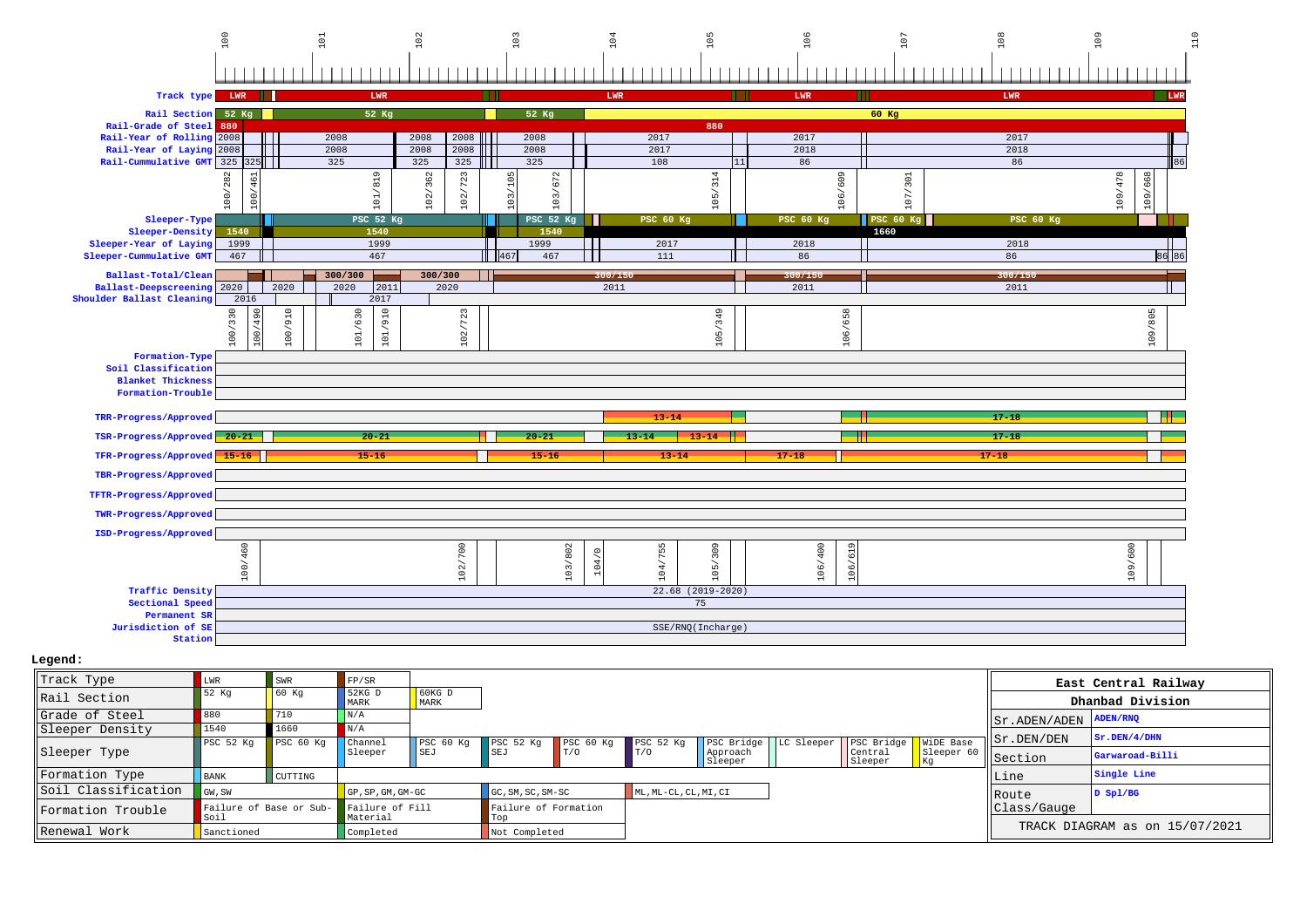|                                                                                        | 100                                                                                               | $\Xi$                           | $\rm ^{\rm o}$     | 103                   | 104                       | 105                 | 106                    | 107              | 108              | 3                      |
|----------------------------------------------------------------------------------------|---------------------------------------------------------------------------------------------------|---------------------------------|--------------------|-----------------------|---------------------------|---------------------|------------------------|------------------|------------------|------------------------|
| Track type                                                                             | LWR                                                                                               | LWR                             |                    |                       | LWR                       |                     | LWR                    | ш                | LWR              | <b>LWR</b>             |
| Rail Section                                                                           | 52 Kg                                                                                             | 52 Kg                           |                    | 52 Kg                 |                           |                     |                        | 60 Kg            |                  |                        |
| Rail-Grade of Steel                                                                    | 880                                                                                               |                                 |                    |                       |                           | 880                 |                        |                  |                  |                        |
| Rail-Year of Rolling                                                                   | 2008                                                                                              | 2008                            | 2008<br>2008       | 2008                  | 2017                      |                     | 2017                   |                  | 2017             |                        |
| Rail-Year of Laying                                                                    | 2008                                                                                              | 2008                            | 2008<br>2008       | 2008                  | 2017                      |                     | 2018                   |                  | 2018             |                        |
| Rail-Cummulative GMT 325                                                               | 25                                                                                                | 325                             | 325<br>325         | 325                   | 108                       |                     | 86                     |                  | 86               | 86                     |
|                                                                                        | $\sim$<br>$rac{6}{46}$<br>$^{28}$<br>100/<br>$\left  \begin{array}{c} 0 \\ 0 \end{array} \right $ | $\sigma$<br>/ 81<br>$101\,$     | 102/362<br>102/723 | 105<br>103/672<br>103 |                           | 105/314             | 106/609                | 301<br>5<br>÷.   |                  | 109/478<br>668<br>109/ |
| Sleeper-Type                                                                           |                                                                                                   | $PSC$ 52 $Kq$                   |                    | <b>PSC 52 Kg</b>      | <b>PSC 60 Kg</b>          |                     | <b>PSC 60 Kg</b>       | <b>PSC 60 Kg</b> | <b>PSC 60 Kg</b> |                        |
| Sleeper-Density<br>Sleeper-Year of Laying                                              | 1540<br>1999                                                                                      | 1540<br>1999                    |                    | 1540<br>1999          | 2017                      |                     | 2018                   | 1660             | 2018             |                        |
| Sleeper-Cummulative GMT                                                                | 467                                                                                               | 467                             |                    | 467<br>II46'          | - 1<br>111                |                     | 86                     |                  | 86               | 5   86                 |
| Ballast-Total/Clean<br><b>Ballast-Deepscreening</b>                                    | 2020                                                                                              | 300/300<br>2011<br>2020<br>2020 | 300/300<br>2020    |                       | 300/150<br>2011           |                     | 300/150<br>2011        |                  | 300/150<br>2011  |                        |
| Shoulder Ballast Cleaning                                                              | 2016                                                                                              | 2017                            |                    |                       |                           |                     |                        |                  |                  |                        |
|                                                                                        | 490<br>100/330<br>100/                                                                            | 101/910<br>100/910<br>101/630   | 723<br>102/        |                       |                           | 105/349             | 658<br>106/            |                  |                  | 109/805                |
| Formation-Type<br>Soil Classification<br><b>Blanket Thickness</b><br>Formation-Trouble |                                                                                                   |                                 |                    |                       |                           |                     |                        |                  |                  |                        |
| TRR-Progress/Approved                                                                  |                                                                                                   |                                 |                    |                       | $13 - 14$                 |                     |                        |                  | $17 - 18$        |                        |
| TSR-Progress/Approved 20-21                                                            |                                                                                                   | $20 - 21$                       |                    | $20 - 21$             | $13 - 14$                 | $13 - 14$           |                        |                  | $17 - 18$        |                        |
| TFR-Progress/Approved 15-16                                                            |                                                                                                   | $15 - 16$                       |                    | $15 - 16$             | $13 - 14$                 |                     | $17 - 18$              |                  | $17 - 18$        |                        |
| TBR-Progress/Approved                                                                  |                                                                                                   |                                 |                    |                       |                           |                     |                        |                  |                  |                        |
| TFTR-Progress/Approved                                                                 |                                                                                                   |                                 |                    |                       |                           |                     |                        |                  |                  |                        |
| TWR-Progress/Approved                                                                  |                                                                                                   |                                 |                    |                       |                           |                     |                        |                  |                  |                        |
| ISD-Progress/Approved                                                                  | 460<br>100/                                                                                       |                                 | 102/700            | 103/802               | 104/755<br>5,<br>$\sigma$ | 105/309             | 106/400<br>619<br>106/ |                  |                  | 109/600                |
| <b>Traffic Density</b>                                                                 |                                                                                                   |                                 |                    |                       |                           | $22.68$ (2019-2020) |                        |                  |                  |                        |
| Sectional Speed                                                                        |                                                                                                   |                                 |                    |                       |                           | 75                  |                        |                  |                  |                        |
| Permanent SR<br>Jurisdiction of SE                                                     |                                                                                                   |                                 |                    |                       |                           | SSE/RNQ(Incharge)   |                        |                  |                  |                        |
| Station                                                                                |                                                                                                   |                                 |                    |                       |                           |                     |                        |                  |                  |                        |

| Track Type                | LWR         | SWR                                     | FP/SR                 |                  |                               |           |                       |                     |            |                        |                  |                                                                         | East Central Railway           |
|---------------------------|-------------|-----------------------------------------|-----------------------|------------------|-------------------------------|-----------|-----------------------|---------------------|------------|------------------------|------------------|-------------------------------------------------------------------------|--------------------------------|
| Rail Section              | $152$ Kq    | 60 Kq                                   | 52KG D<br><b>MARK</b> | $60KG$ D<br>MARK |                               |           |                       |                     |            |                        |                  |                                                                         | Dhanbad Division               |
| Grade of Steel            | 880         | 710                                     | N/A                   |                  |                               |           |                       |                     |            |                        |                  | $\sqrt{\text{ST ADEN} / \text{ADEN}} / \sqrt{\text{ADEN} / \text{RNQ}}$ |                                |
| Sleeper Density           | 1540        | 1660                                    | N/A                   |                  |                               |           |                       |                     |            |                        |                  |                                                                         |                                |
|                           | PSC 52 Kg   | PSC 60 Kg                               | <b>Channel</b>        | PSC 60 Kg        | PSC <sub>52</sub> Kq          | PSC 60 Kg | PSC <sub>52</sub> Kq  | PSC Bridge          | LC Sleeper | PSC Bridge   WiDE Base |                  | $  $ $Sr$ .DEN/ $DEN$                                                   | Sr.DEN/4/DHN                   |
| Sleeper Type              |             |                                         | Sleeper               | SEJ              | <b>ISEJ</b>                   | T/0       |                       | Approach<br>Sleeper |            | Central<br>Sleeper     | Sleeper 60<br>Kq | Section                                                                 | Garwaroad-Billi                |
| Formation Type            | <b>BANK</b> | CUTTING                                 |                       |                  |                               |           |                       |                     |            |                        |                  | Line                                                                    | Single Line                    |
| Soil Classification       | GW, SW      |                                         | $GP$ , SP, GM, GM-GC  |                  | $GC, SM, SC, SM-SC$           |           | ML, ML-CL, CL, MI, CI |                     |            |                        |                  | <b>IRoute</b>                                                           | D Spl/BG                       |
| <b>IFormation Trouble</b> | Soil So     | Failure of Base or Sub- Failure of Fill | Material              |                  | Failure of Formation<br>  Top |           |                       |                     |            |                        |                  | Class/Gauge                                                             |                                |
| Renewal Work              | Sanctioned  |                                         | Completed             |                  | Not Completed                 |           |                       |                     |            |                        |                  |                                                                         | TRACK DIAGRAM as on 15/07/2021 |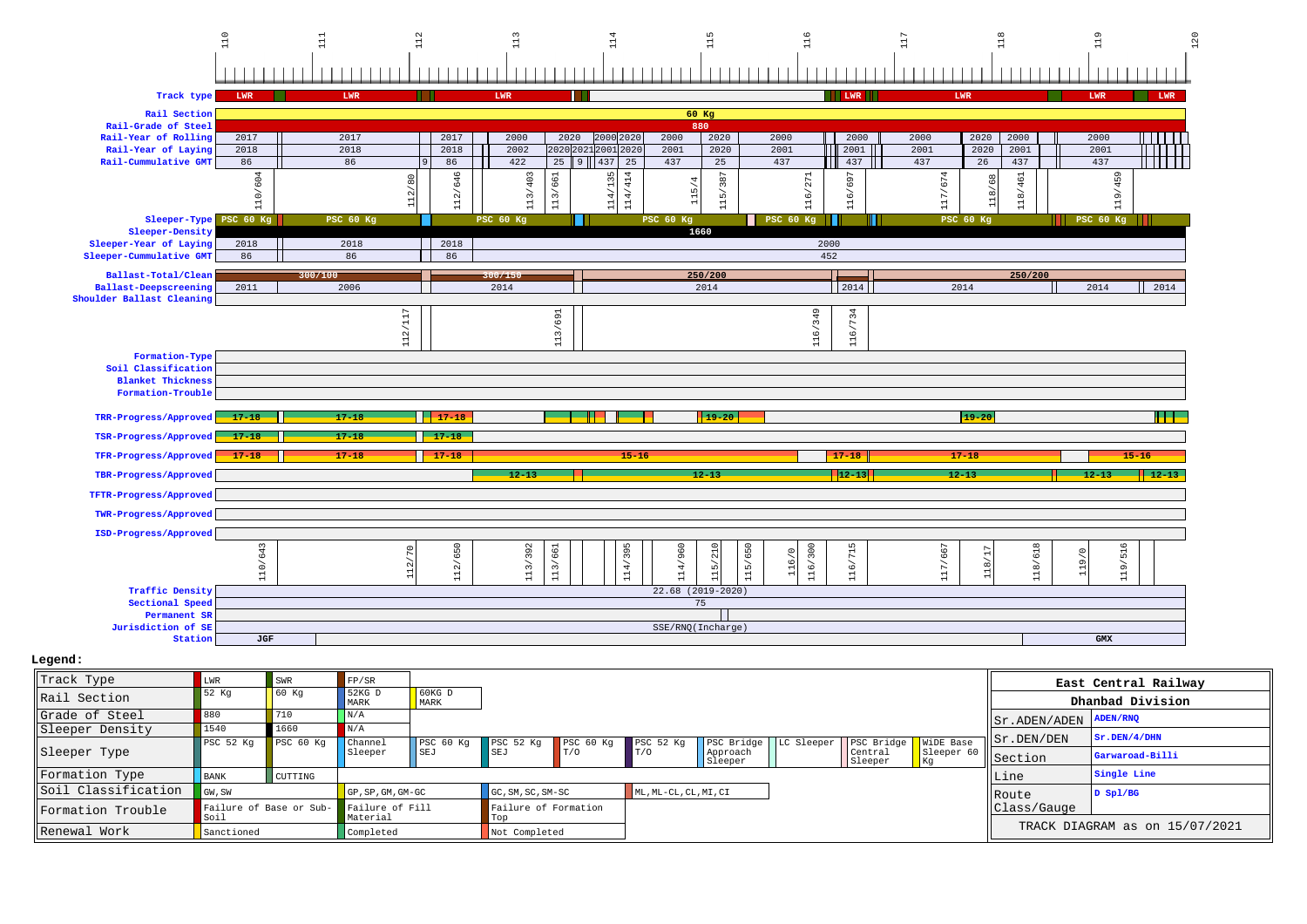

| Legend : |  |
|----------|--|
|----------|--|

| Track Type          | LWR                  | SWR                     | FP/SR                       |                  |                               |           |                       |                     |            |                        |                           |                                                       | East Central Railway           |
|---------------------|----------------------|-------------------------|-----------------------------|------------------|-------------------------------|-----------|-----------------------|---------------------|------------|------------------------|---------------------------|-------------------------------------------------------|--------------------------------|
| Rail Section        | 52 Kq                | 60 Kq                   | $52KG$ D<br>MARK            | $60KG$ D<br>MARK |                               |           |                       |                     |            |                        |                           |                                                       | Dhanbad Division               |
| Grade of Steel      | 880                  | 710                     | N/A                         |                  |                               |           |                       |                     |            |                        |                           | $ \text{Sr.ADEN}/\text{ADEN} \text{ADEN}/\text{RNO} $ |                                |
| Sleeper Density     | 1540                 | 1660                    | N/A                         |                  |                               |           |                       |                     |            |                        |                           |                                                       |                                |
|                     | PSC <sub>52 Kq</sub> | PSC 60 Kq               | Channel                     | PSC 60 Kg        | PSC 52 Kg                     | PSC 60 Kg | PSC <sub>52</sub> Kq  | PSC Bridge          | LC Sleeper | PSC Bridge   WiDE Base |                           | Sr.DEN/DEN                                            | Sr.DEN/4/DHN                   |
| Sleeper Type        |                      |                         | Sleeper                     | SEJ              | <b>SEJ</b>                    | T/0       | IT/O                  | Approach<br>Sleeper |            | Central<br>Sleeper     | Sleeper 60<br><b>I</b> Kg | Section                                               | Garwaroad-Billi                |
| Formation Type      | <b>BANK</b>          | CUTTING                 |                             |                  |                               |           |                       |                     |            |                        |                           | Line                                                  | Single Line                    |
| Soil Classification | GW, SW               |                         | GP, SP, GM, GM-GC           |                  | GC, SM, SC, SM-SC             |           | ML, ML-CL, CL, MI, CI |                     |            |                        |                           | <b>IRoute</b>                                         | $D$ Spl/BG                     |
| lFormation Trouble  | Soil                 | Failure of Base or Sub- | Failure of Fill<br>Material |                  | Failure of Formation<br>  Top |           |                       |                     |            |                        |                           | Class/Gauge                                           |                                |
| Renewal Work        | Sanctioned           |                         | Completed                   |                  | Not Completed                 |           |                       |                     |            |                        |                           |                                                       | TRACK DIAGRAM as on 15/07/2021 |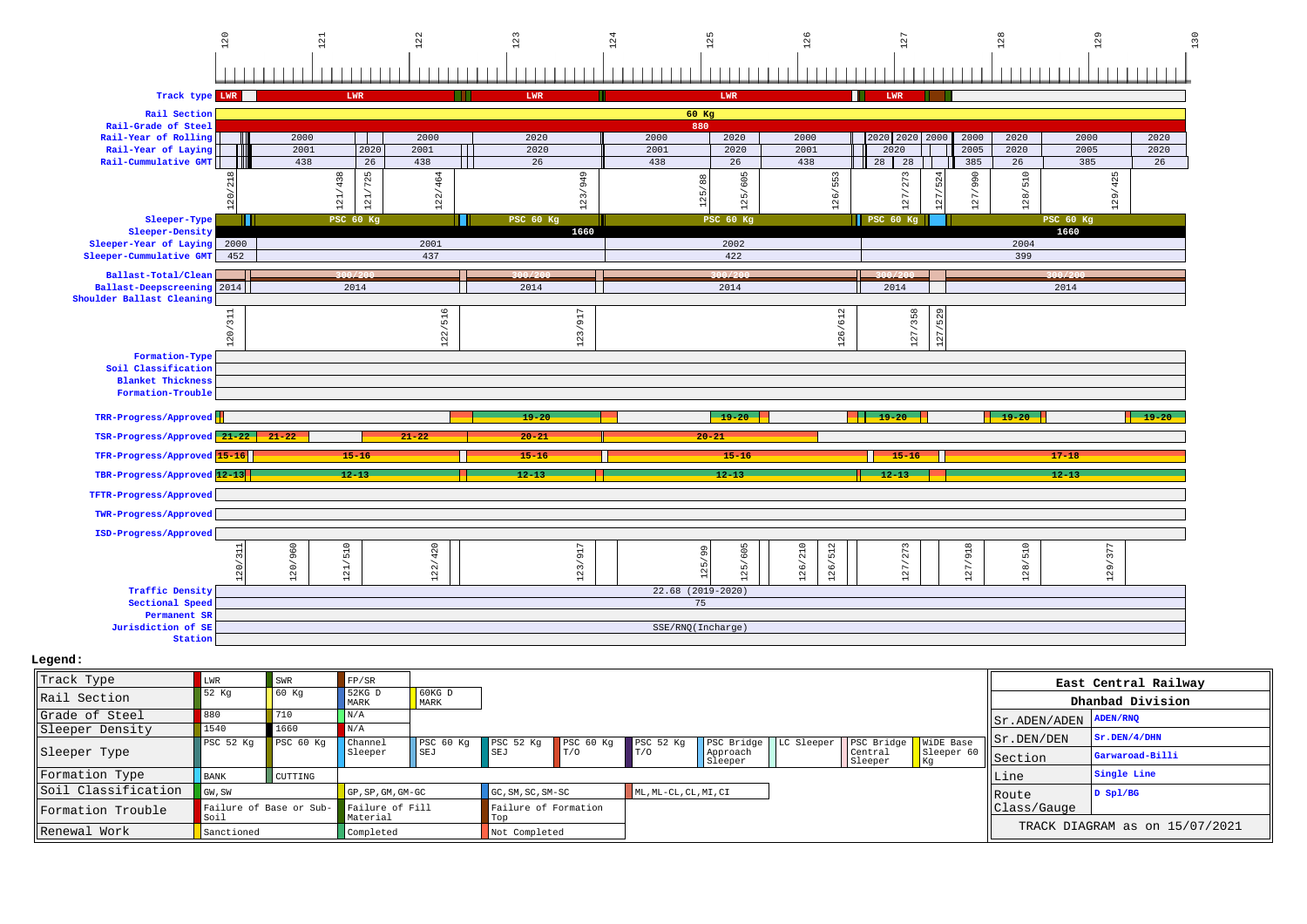

| Track Type          |                                 | SWR            | FP/SR                       |                                         |                             |           |                       |                     |                                     |               |                                                       | East Central Railway           |
|---------------------|---------------------------------|----------------|-----------------------------|-----------------------------------------|-----------------------------|-----------|-----------------------|---------------------|-------------------------------------|---------------|-------------------------------------------------------|--------------------------------|
| Rail Section        | 52 Kq                           | 60 Kq          | $52KG$ D<br>MARK            | $\overline{\phantom{0}}$ 60KG D<br>MARK |                             |           |                       |                     |                                     |               |                                                       | Dhanbad Division               |
| Grade of Steel      | 880                             | 710            | N/A                         |                                         |                             |           |                       |                     |                                     |               | $ \text{Sr.ADEN}/\text{ADEN} \text{ADEN}/\text{RNQ} $ |                                |
| Sleeper Density     | 1540                            | 1660           | N/A                         |                                         |                             |           |                       |                     |                                     |               |                                                       |                                |
|                     | PSC <sub>52</sub> Kq            | PSC 60 Kg      | Channel                     | PSC <sub>60</sub> Kq                    | PSC 52 Kg                   | PSC 60 Kg | PSC 52 Kq             | PSC Bridge          | LC Sleeper   PSC Bridge   WiDE Base |               | $  $ Sr.DEN/DEN                                       | Sr.DEN/4/DHN                   |
| Sleeper Type        |                                 |                | Sleeper                     | l I SEJ                                 | SEJ                         | T/0       | T/0                   | Approach<br>Sleeper | Central<br>Sleeper                  | Sleeper<br>Kg | Section                                               | Garwaroad-Billi                |
| Formation Type      | <b>BANK</b>                     | <b>CUTTING</b> |                             |                                         |                             |           |                       |                     |                                     |               | Line                                                  | Single Line                    |
| Soil Classification | GW, SW                          |                | $GP$ , SP, GM, GM-GC        |                                         | GC, SM, SC, SM-SC           |           | ML, ML-CL, CL, MI, CI |                     |                                     |               | <b>IRoute</b>                                         | D Spl/BG                       |
| Formation Trouble   | Failure of Base or Sub-<br>Soil |                | Failure of Fill<br>Material |                                         | Failure of Formation<br>Top |           |                       |                     |                                     |               | Class/Gauge                                           |                                |
| Renewal Work        | Sanctioned                      |                | Completed                   |                                         | Not Completed               |           |                       |                     |                                     |               |                                                       | TRACK DIAGRAM as on 15/07/2021 |